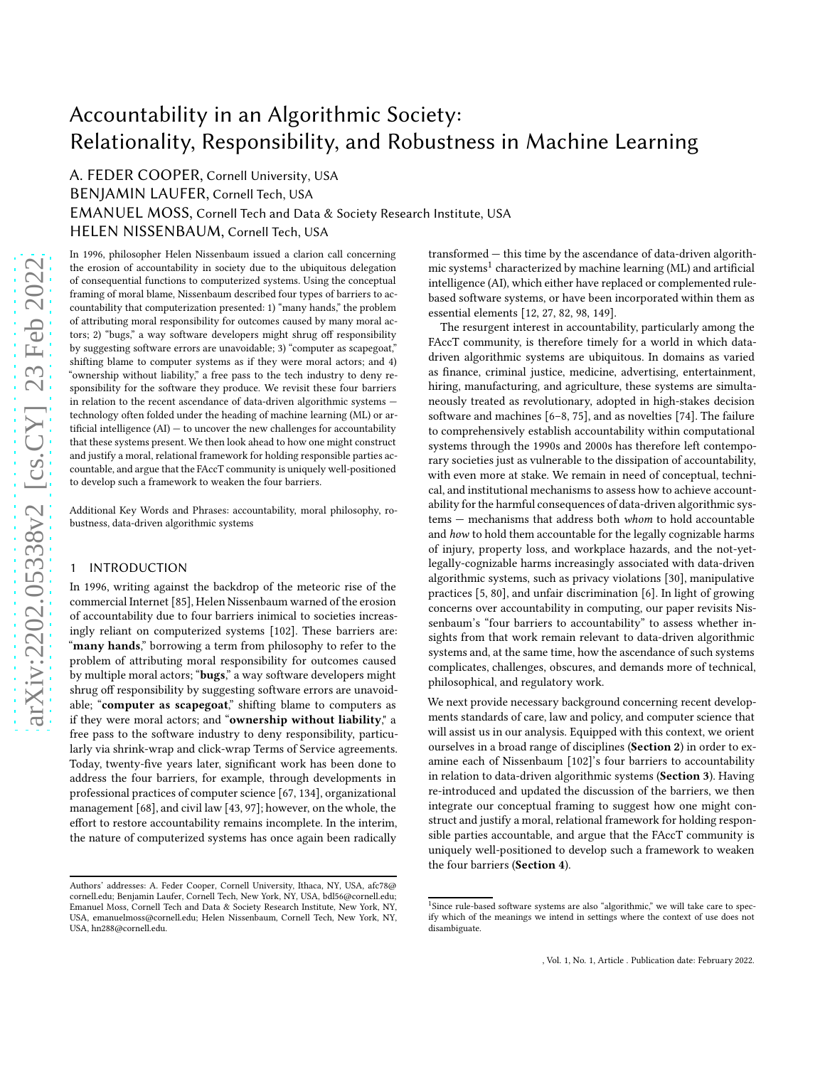# Accountability in an Algorithmic Society: Relationality, Responsibility, and Robustness in Machine Learning

A. FEDER COOPER, Cornell University, USA BENJAMIN LAUFER, Cornell Tech, USA EMANUEL MOSS, Cornell Tech and Data & Society Research Institute, USA HELEN NISSENBAUM, Cornell Tech, USA

In 1996, philosopher Helen Nissenbaum issued a clarion call concerning the erosion of accountability in society due to the ubiquitous delegation of consequential functions to computerized systems. Using the conceptual framing of moral blame, Nissenbaum described four types of barriers to accountability that computerization presented: 1) "many hands," the problem of attributing moral responsibility for outcomes caused by many moral actors; 2) "bugs," a way software developers might shrug off responsibility by suggesting software errors are unavoidable; 3) "computer as scapegoat," shifting blame to computer systems as if they were moral actors; and 4) "ownership without liability," a free pass to the tech industry to deny responsibility for the software they produce. We revisit these four barriers in relation to the recent ascendance of data-driven algorithmic systems technology often folded under the heading of machine learning (ML) or artificial intelligence (AI) — to uncover the new challenges for accountability that these systems present. We then look ahead to how one might construct and justify a moral, relational framework for holding responsible parties accountable, and argue that the FAccT community is uniquely well-positioned to develop such a framework to weaken the four barriers.

Additional Key Words and Phrases: accountability, moral philosophy, robustness, data-driven algorithmic systems

## 1 INTRODUCTION

In 1996, writing against the backdrop of the meteoric rise of the commercial Internet [\[85\]](#page-11-0), Helen Nissenbaum warned of the erosion of accountability due to four barriers inimical to societies increasingly reliant on computerized systems [\[102\]](#page-11-1). These barriers are: "many hands," borrowing a term from philosophy to refer to the problem of attributing moral responsibility for outcomes caused by multiple moral actors; "bugs," a way software developers might shrug off responsibility by suggesting software errors are unavoidable; "computer as scapegoat," shifting blame to computers as if they were moral actors; and "ownership without liability," a free pass to the software industry to deny responsibility, particularly via shrink-wrap and click-wrap Terms of Service agreements. Today, twenty-five years later, significant work has been done to address the four barriers, for example, through developments in professional practices of computer science [\[67](#page-11-2), [134](#page-12-0)], organizational management [\[68\]](#page-11-3), and civil law [\[43](#page-10-0), [97](#page-11-4)]; however, on the whole, the effort to restore accountability remains incomplete. In the interim, the nature of computerized systems has once again been radically

transformed — this time by the ascendance of data-driven algorith-mic systems<sup>[1](#page-0-0)</sup> characterized by machine learning (ML) and artificial intelligence (AI), which either have replaced or complemented rulebased software systems, or have been incorporated within them as essential elements [\[12](#page-10-1), [27,](#page-10-2) [82](#page-11-5), [98,](#page-11-6) [149\]](#page-12-1).

The resurgent interest in accountability, particularly among the FAccT community, is therefore timely for a world in which datadriven algorithmic systems are ubiquitous. In domains as varied as finance, criminal justice, medicine, advertising, entertainment, hiring, manufacturing, and agriculture, these systems are simultaneously treated as revolutionary, adopted in high-stakes decision software and machines [\[6](#page-9-0)[–8,](#page-9-1) [75](#page-11-7)], and as novelties [\[74\]](#page-11-8). The failure to comprehensively establish accountability within computational systems through the 1990s and 2000s has therefore left contemporary societies just as vulnerable to the dissipation of accountability, with even more at stake. We remain in need of conceptual, technical, and institutional mechanisms to assess how to achieve accountability for the harmful consequences of data-driven algorithmic systems — mechanisms that address both whom to hold accountable and how to hold them accountable for the legally cognizable harms of injury, property loss, and workplace hazards, and the not-yetlegally-cognizable harms increasingly associated with data-driven algorithmic systems, such as privacy violations [\[30\]](#page-10-3), manipulative practices [\[5](#page-9-2), [80\]](#page-11-9), and unfair discrimination [\[6](#page-9-0)]. In light of growing concerns over accountability in computing, our paper revisits Nissenbaum's "four barriers to accountability" to assess whether insights from that work remain relevant to data-driven algorithmic systems and, at the same time, how the ascendance of such systems complicates, challenges, obscures, and demands more of technical, philosophical, and regulatory work.

We next provide necessary background concerning recent developments standards of care, law and policy, and computer science that will assist us in our analysis. Equipped with this context, we orient ourselves in a broad range of disciplines (Section [2](#page-1-0)) in order to examine each of Nissenbaum [\[102\]](#page-11-1)'s four barriers to accountability in relation to data-driven algorithmic systems (Section [3](#page-3-0)). Having re-introduced and updated the discussion of the barriers, we then integrate our conceptual framing to suggest how one might construct and justify a moral, relational framework for holding responsible parties accountable, and argue that the FAccT community is uniquely well-positioned to develop such a framework to weaken the four barriers (Section [4](#page-7-0)).

Authors' addresses: A. Feder Cooper, Cornell University, Ithaca, NY, USA, afc78@ cornell.edu; Benjamin Laufer, Cornell Tech, New York, NY, USA, bdl56@cornell.edu; Emanuel Moss, Cornell Tech and Data & Society Research Institute, New York, NY, USA, emanuelmoss@cornell.edu; Helen Nissenbaum, Cornell Tech, New York, NY, USA, hn288@cornell.edu.

<span id="page-0-0"></span><sup>&</sup>lt;sup>1</sup>Since rule-based software systems are also "algorithmic," we will take care to specify which of the meanings we intend in settings where the context of use does not disambiguate.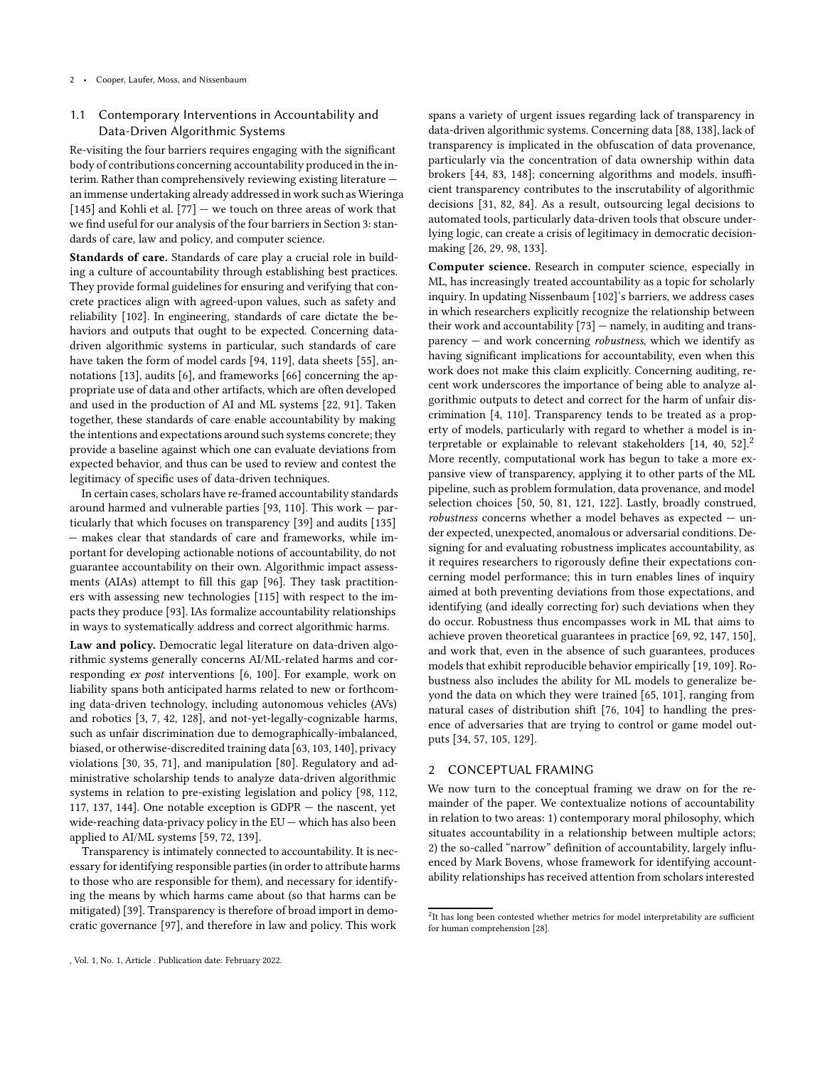## 1.1 Contemporary Interventions in Accountability and Data-Driven Algorithmic Systems

Re-visiting the four barriers requires engaging with the significant body of contributions concerning accountability produced in the interim. Rather than comprehensively reviewing existing literature an immense undertaking already addressed in work such as Wieringa [\[145\]](#page-12-2) and Kohli et al.  $[77]$  — we touch on three areas of work that we find useful for our analysis of the four barriers in Section [3:](#page-3-0) standards of care, law and policy, and computer science.

Standards of care. Standards of care play a crucial role in building a culture of accountability through establishing best practices. They provide formal guidelines for ensuring and verifying that concrete practices align with agreed-upon values, such as safety and reliability [\[102\]](#page-11-1). In engineering, standards of care dictate the behaviors and outputs that ought to be expected. Concerning datadriven algorithmic systems in particular, such standards of care have taken the form of model cards [\[94,](#page-11-11) [119\]](#page-12-3), data sheets [\[55](#page-10-4)], annotations [\[13](#page-10-5)], audits [\[6\]](#page-9-0), and frameworks [\[66\]](#page-11-12) concerning the appropriate use of data and other artifacts, which are often developed and used in the production of AI and ML systems [\[22,](#page-10-6) [91\]](#page-11-13). Taken together, these standards of care enable accountability by making the intentions and expectations around such systems concrete; they provide a baseline against which one can evaluate deviations from expected behavior, and thus can be used to review and contest the legitimacy of specific uses of data-driven techniques.

In certain cases, scholars have re-framed accountability standards around harmed and vulnerable parties [\[93,](#page-11-14) [110\]](#page-12-4). This work — particularly that which focuses on transparency [\[39](#page-10-7)] and audits [\[135\]](#page-12-5) — makes clear that standards of care and frameworks, while important for developing actionable notions of accountability, do not guarantee accountability on their own. Algorithmic impact assessments (AIAs) attempt to fill this gap [\[96\]](#page-11-15). They task practitioners with assessing new technologies [\[115](#page-12-6)] with respect to the impacts they produce [\[93\]](#page-11-14). IAs formalize accountability relationships in ways to systematically address and correct algorithmic harms.

Law and policy. Democratic legal literature on data-driven algorithmic systems generally concerns AI/ML-related harms and corresponding ex post interventions [\[6](#page-9-0), [100\]](#page-11-16). For example, work on liability spans both anticipated harms related to new or forthcoming data-driven technology, including autonomous vehicles (AVs) and robotics [\[3,](#page-9-3) [7,](#page-9-4) [42,](#page-10-8) [128](#page-12-7)], and not-yet-legally-cognizable harms, such as unfair discrimination due to demographically-imbalanced, biased, or otherwise-discredited training data [\[63](#page-11-17), [103](#page-11-18), [140](#page-12-8)], privacy violations [\[30,](#page-10-3) [35](#page-10-9), [71](#page-11-19)], and manipulation [\[80](#page-11-9)]. Regulatory and administrative scholarship tends to analyze data-driven algorithmic systems in relation to pre-existing legislation and policy [\[98,](#page-11-6) [112](#page-12-9), [117](#page-12-10), [137](#page-12-11), [144\]](#page-12-12). One notable exception is GDPR — the nascent, yet wide-reaching data-privacy policy in the EU — which has also been applied to AI/ML systems [\[59,](#page-10-10) [72](#page-11-20), [139\]](#page-12-13).

Transparency is intimately connected to accountability. It is necessary for identifying responsible parties (in order to attribute harms to those who are responsible for them), and necessary for identifying the means by which harms came about (so that harms can be mitigated) [\[39\]](#page-10-7). Transparency is therefore of broad import in democratic governance [\[97\]](#page-11-4), and therefore in law and policy. This work

spans a variety of urgent issues regarding lack of transparency in data-driven algorithmic systems. Concerning data [\[88,](#page-11-21) [138](#page-12-14)], lack of transparency is implicated in the obfuscation of data provenance, particularly via the concentration of data ownership within data brokers [\[44](#page-10-11), [83](#page-11-22), [148\]](#page-12-15); concerning algorithms and models, insufficient transparency contributes to the inscrutability of algorithmic decisions [\[31,](#page-10-12) [82](#page-11-5), [84\]](#page-11-23). As a result, outsourcing legal decisions to automated tools, particularly data-driven tools that obscure underlying logic, can create a crisis of legitimacy in democratic decisionmaking [\[26](#page-10-13), [29,](#page-10-14) [98](#page-11-6), [133](#page-12-16)].

Computer science. Research in computer science, especially in ML, has increasingly treated accountability as a topic for scholarly inquiry. In updating Nissenbaum [\[102\]](#page-11-1)'s barriers, we address cases in which researchers explicitly recognize the relationship between their work and accountability [\[73](#page-11-24)] — namely, in auditing and transparency — and work concerning robustness, which we identify as having significant implications for accountability, even when this work does not make this claim explicitly. Concerning auditing, recent work underscores the importance of being able to analyze algorithmic outputs to detect and correct for the harm of unfair discrimination [\[4](#page-9-5), [110\]](#page-12-4). Transparency tends to be treated as a property of models, particularly with regard to whether a model is interpretable or explainable to relevant stakeholders  $[14, 40, 52]$  $[14, 40, 52]$  $[14, 40, 52]$  $[14, 40, 52]$  $[14, 40, 52]$ <sup>[2](#page-1-1)</sup> More recently, computational work has begun to take a more expansive view of transparency, applying it to other parts of the ML pipeline, such as problem formulation, data provenance, and model selection choices [\[50](#page-10-18), [50,](#page-10-18) [81,](#page-11-25) [121,](#page-12-17) [122](#page-12-18)]. Lastly, broadly construed,  $robustness$  concerns whether a model behaves as expected  $-$  under expected, unexpected, anomalous or adversarial conditions. Designing for and evaluating robustness implicates accountability, as it requires researchers to rigorously define their expectations concerning model performance; this in turn enables lines of inquiry aimed at both preventing deviations from those expectations, and identifying (and ideally correcting for) such deviations when they do occur. Robustness thus encompasses work in ML that aims to achieve proven theoretical guarantees in practice [\[69,](#page-11-26) [92,](#page-11-27) [147,](#page-12-19) [150\]](#page-12-20), and work that, even in the absence of such guarantees, produces models that exhibit reproducible behavior empirically [\[19,](#page-10-19) [109\]](#page-12-21). Robustness also includes the ability for ML models to generalize beyond the data on which they were trained [\[65,](#page-11-28) [101\]](#page-11-29), ranging from natural cases of distribution shift [\[76,](#page-11-30) [104\]](#page-11-31) to handling the presence of adversaries that are trying to control or game model outputs [\[34,](#page-10-20) [57,](#page-10-21) [105,](#page-11-32) [129\]](#page-12-22).

## <span id="page-1-0"></span>2 CONCEPTUAL FRAMING

We now turn to the conceptual framing we draw on for the remainder of the paper. We contextualize notions of accountability in relation to two areas: 1) contemporary moral philosophy, which situates accountability in a relationship between multiple actors; 2) the so-called "narrow" definition of accountability, largely influenced by Mark Bovens, whose framework for identifying accountability relationships has received attention from scholars interested

<span id="page-1-1"></span> $2$ It has long been contested whether metrics for model interpretability are sufficient for human comprehension [\[28](#page-10-22)].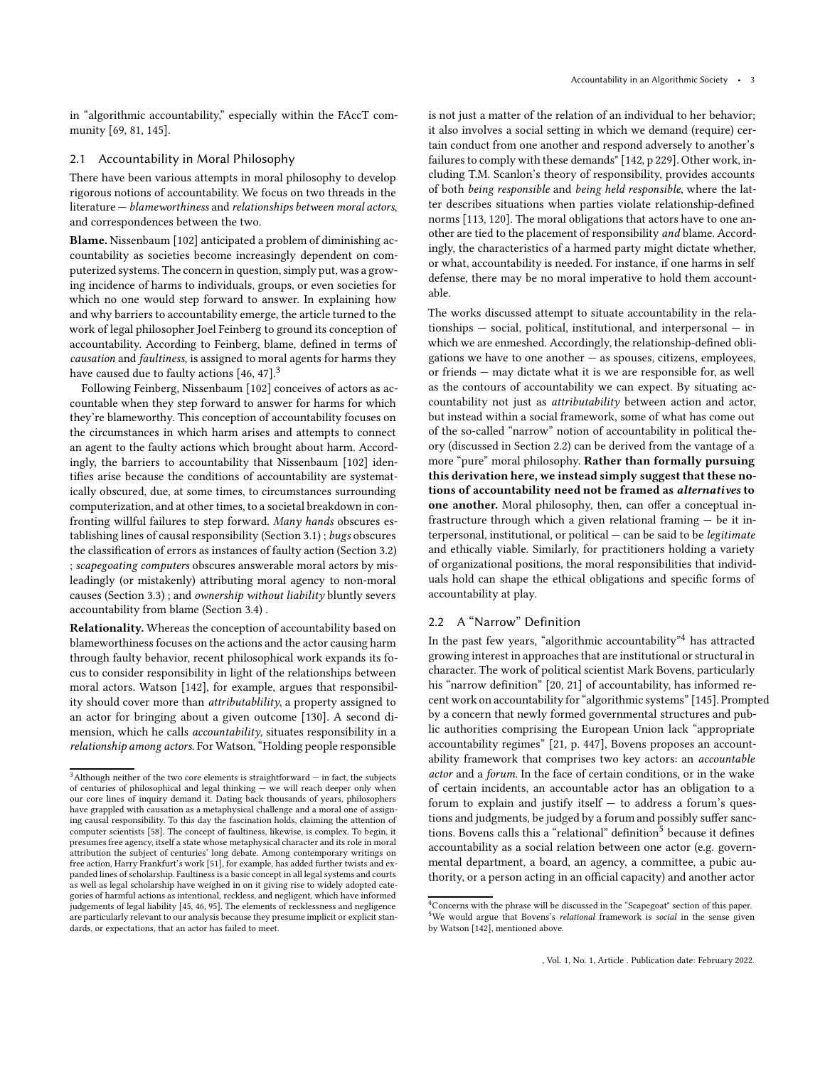in "algorithmic accountability," especially within the FAccT community [\[69](#page-11-26), [81,](#page-11-25) [145\]](#page-12-2).

#### <span id="page-2-4"></span>2.1 Accountability in Moral Philosophy

There have been various attempts in moral philosophy to develop rigorous notions of accountability. We focus on two threads in the literature — blameworthiness and relationships between moral actors, and correspondences between the two.

Blame. Nissenbaum [\[102](#page-11-1)] anticipated a problem of diminishing accountability as societies become increasingly dependent on computerized systems. The concern in question, simply put, was a growing incidence of harms to individuals, groups, or even societies for which no one would step forward to answer. In explaining how and why barriers to accountability emerge, the article turned to the work of legal philosopher Joel Feinberg to ground its conception of accountability. According to Feinberg, blame, defined in terms of causation and faultiness, is assigned to moral agents for harms they have caused due to faulty actions [\[46](#page-10-23), [47\]](#page-10-24).<sup>[3](#page-2-0)</sup>

Following Feinberg, Nissenbaum [\[102](#page-11-1)] conceives of actors as accountable when they step forward to answer for harms for which they're blameworthy. This conception of accountability focuses on the circumstances in which harm arises and attempts to connect an agent to the faulty actions which brought about harm. Accordingly, the barriers to accountability that Nissenbaum [\[102](#page-11-1)] identifies arise because the conditions of accountability are systematically obscured, due, at some times, to circumstances surrounding computerization, and at other times, to a societal breakdown in confronting willful failures to step forward. Many hands obscures establishing lines of causal responsibility (Section [3.1\)](#page-3-1) ; bugs obscures the classification of errors as instances of faulty action (Section [3.2\)](#page-4-0) ; scapegoating computers obscures answerable moral actors by misleadingly (or mistakenly) attributing moral agency to non-moral causes (Section [3.3\)](#page-5-0) ; and ownership without liability bluntly severs accountability from blame (Section [3.4\)](#page-7-1) .

Relationality. Whereas the conception of accountability based on blameworthiness focuses on the actions and the actor causing harm through faulty behavior, recent philosophical work expands its focus to consider responsibility in light of the relationships between moral actors. Watson [\[142](#page-12-23)], for example, argues that responsibility should cover more than attributablility, a property assigned to an actor for bringing about a given outcome [\[130](#page-12-24)]. A second dimension, which he calls accountability, situates responsibility in a relationship among actors. For Watson, "Holding people responsible

is not just a matter of the relation of an individual to her behavior; it also involves a social setting in which we demand (require) certain conduct from one another and respond adversely to another's failures to comply with these demands" [\[142,](#page-12-23) p 229]. Other work, including T.M. Scanlon's theory of responsibility, provides accounts of both being responsible and being held responsible, where the latter describes situations when parties violate relationship-defined norms [\[113,](#page-12-25) [120\]](#page-12-26). The moral obligations that actors have to one another are tied to the placement of responsibility and blame. Accordingly, the characteristics of a harmed party might dictate whether, or what, accountability is needed. For instance, if one harms in self defense, there may be no moral imperative to hold them accountable.

The works discussed attempt to situate accountability in the relationships — social, political, institutional, and interpersonal — in which we are enmeshed. Accordingly, the relationship-defined obligations we have to one another  $-$  as spouses, citizens, employees, or friends — may dictate what it is we are responsible for, as well as the contours of accountability we can expect. By situating accountability not just as attributability between action and actor, but instead within a social framework, some of what has come out of the so-called "narrow" notion of accountability in political theory (discussed in Section [2.2\)](#page-2-1) can be derived from the vantage of a more "pure" moral philosophy. Rather than formally pursuing this derivation here, we instead simply suggest that these notions of accountability need not be framed as alternatives to one another. Moral philosophy, then, can offer a conceptual infrastructure through which a given relational framing — be it interpersonal, institutional, or political — can be said to be legitimate and ethically viable. Similarly, for practitioners holding a variety of organizational positions, the moral responsibilities that individuals hold can shape the ethical obligations and specific forms of accountability at play.

# <span id="page-2-1"></span>2.2 A "Narrow" Definition

In the past few years, "algorithmic accountability"[4](#page-2-2) has attracted growing interest in approaches that are institutional or structural in character. The work of political scientist Mark Bovens, particularly his "narrow definition" [\[20,](#page-10-28) [21](#page-10-29)] of accountability, has informed recent work on accountability for "algorithmic systems" [\[145\]](#page-12-2). Prompted by a concern that newly formed governmental structures and public authorities comprising the European Union lack "appropriate accountability regimes" [\[21](#page-10-29), p. 447], Bovens proposes an accountability framework that comprises two key actors: an accountable actor and a forum. In the face of certain conditions, or in the wake of certain incidents, an accountable actor has an obligation to a forum to explain and justify itself  $-$  to address a forum's questions and judgments, be judged by a forum and possibly suffer sanc-tions. Bovens calls this a "relational" definition<sup>[5](#page-2-3)</sup> because it defines accountability as a social relation between one actor (e.g. governmental department, a board, an agency, a committee, a pubic authority, or a person acting in an official capacity) and another actor

<span id="page-2-0"></span> $^3\rm{Although}$  neither of the two core elements is straightforward  $-$  in fact, the subjects of centuries of philosophical and legal thinking — we will reach deeper only when our core lines of inquiry demand it. Dating back thousands of years, philosophers have grappled with causation as a metaphysical challenge and a moral one of assigning causal responsibility. To this day the fascination holds, claiming the attention of computer scientists [\[58](#page-10-25)]. The concept of faultiness, likewise, is complex. To begin, it presumes free agency, itself a state whose metaphysical character and its role in moral attribution the subject of centuries' long debate. Among contemporary writings on free action, Harry Frankfurt's work [\[51](#page-10-26)], for example, has added further twists and expanded lines of scholarship. Faultiness is a basic concept in all legal systems and courts as well as legal scholarship have weighed in on it giving rise to widely adopted categories of harmful actions as intentional, reckless, and negligent, which have informed judgements of legal liability [\[45,](#page-10-27) [46,](#page-10-23) [95](#page-11-33)]. The elements of recklessness and negligence are particularly relevant to our analysis because they presume implicit or explicit standards, or expectations, that an actor has failed to meet.

<span id="page-2-3"></span><span id="page-2-2"></span> $4$ Concerns with the phrase will be discussed in the "Scapegoat" section of this paper. <sup>5</sup>We would argue that Bovens's relational framework is social in the sense given by Watson [\[142](#page-12-23)], mentioned above.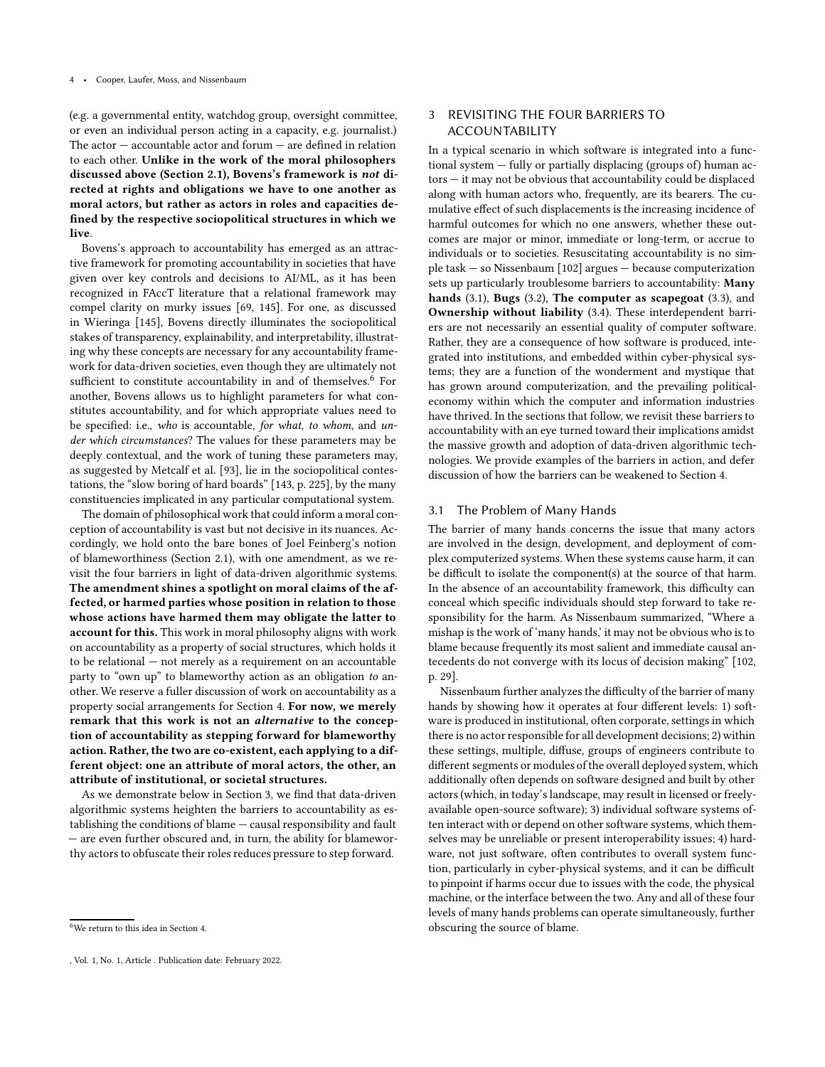(e.g. a governmental entity, watchdog group, oversight committee, or even an individual person acting in a capacity, e.g. journalist.) The  $actor - accountable$  actor and forum  $-$  are defined in relation to each other. Unlike in the work of the moral philosophers discussed above (Section [2.1\)](#page-2-4), Bovens's framework is not directed at rights and obligations we have to one another as moral actors, but rather as actors in roles and capacities defined by the respective sociopolitical structures in which we live.

Bovens's approach to accountability has emerged as an attractive framework for promoting accountability in societies that have given over key controls and decisions to AI/ML, as it has been recognized in FAccT literature that a relational framework may compel clarity on murky issues [\[69,](#page-11-26) [145\]](#page-12-2). For one, as discussed in Wieringa [\[145](#page-12-2)], Bovens directly illuminates the sociopolitical stakes of transparency, explainability, and interpretability, illustrating why these concepts are necessary for any accountability framework for data-driven societies, even though they are ultimately not sufficient to constitute accountability in and of themselves.<sup>[6](#page-3-2)</sup> For another, Bovens allows us to highlight parameters for what constitutes accountability, and for which appropriate values need to be specified: i.e., who is accountable, for what, to whom, and under which circumstances? The values for these parameters may be deeply contextual, and the work of tuning these parameters may, as suggested by Metcalf et al. [\[93\]](#page-11-14), lie in the sociopolitical contestations, the "slow boring of hard boards" [\[143,](#page-12-27) p. 225], by the many constituencies implicated in any particular computational system.

The domain of philosophical work that could inform a moral conception of accountability is vast but not decisive in its nuances. Accordingly, we hold onto the bare bones of Joel Feinberg's notion of blameworthiness (Section [2.1\)](#page-2-4), with one amendment, as we revisit the four barriers in light of data-driven algorithmic systems. The amendment shines a spotlight on moral claims of the affected, or harmed parties whose position in relation to those whose actions have harmed them may obligate the latter to account for this. This work in moral philosophy aligns with work on accountability as a property of social structures, which holds it to be relational — not merely as a requirement on an accountable party to "own up" to blameworthy action as an obligation to another. We reserve a fuller discussion of work on accountability as a property social arrangements for Section [4.](#page-7-0) For now, we merely remark that this work is not an alternative to the conception of accountability as stepping forward for blameworthy action. Rather, the two are co-existent, each applying to a different object: one an attribute of moral actors, the other, an attribute of institutional, or societal structures.

As we demonstrate below in Section [3,](#page-3-0) we find that data-driven algorithmic systems heighten the barriers to accountability as establishing the conditions of blame — causal responsibility and fault — are even further obscured and, in turn, the ability for blameworthy actors to obfuscate their roles reduces pressure to step forward.

# <span id="page-3-0"></span>3 REVISITING THE FOUR BARRIERS TO ACCOUNTABILITY

In a typical scenario in which software is integrated into a functional system — fully or partially displacing (groups of) human actors — it may not be obvious that accountability could be displaced along with human actors who, frequently, are its bearers. The cumulative effect of such displacements is the increasing incidence of harmful outcomes for which no one answers, whether these outcomes are major or minor, immediate or long-term, or accrue to individuals or to societies. Resuscitating accountability is no simple task — so Nissenbaum [\[102](#page-11-1)] argues — because computerization sets up particularly troublesome barriers to accountability: Many hands [\(3.1\)](#page-3-1), Bugs [\(3.2\)](#page-4-0), The computer as scapegoat [\(3.3\)](#page-5-0), and Ownership without liability [\(3.4\)](#page-7-1). These interdependent barriers are not necessarily an essential quality of computer software. Rather, they are a consequence of how software is produced, integrated into institutions, and embedded within cyber-physical systems; they are a function of the wonderment and mystique that has grown around computerization, and the prevailing politicaleconomy within which the computer and information industries have thrived. In the sections that follow, we revisit these barriers to accountability with an eye turned toward their implications amidst the massive growth and adoption of data-driven algorithmic technologies. We provide examples of the barriers in action, and defer discussion of how the barriers can be weakened to Section [4.](#page-7-0)

# <span id="page-3-1"></span>3.1 The Problem of Many Hands

The barrier of many hands concerns the issue that many actors are involved in the design, development, and deployment of complex computerized systems. When these systems cause harm, it can be difficult to isolate the component(s) at the source of that harm. In the absence of an accountability framework, this difficulty can conceal which specific individuals should step forward to take responsibility for the harm. As Nissenbaum summarized, "Where a mishap is the work of 'many hands,' it may not be obvious who is to blame because frequently its most salient and immediate causal antecedents do not converge with its locus of decision making" [\[102](#page-11-1), p. 29].

Nissenbaum further analyzes the difficulty of the barrier of many hands by showing how it operates at four different levels: 1) software is produced in institutional, often corporate, settings in which there is no actor responsible for all development decisions; 2) within these settings, multiple, diffuse, groups of engineers contribute to different segments or modules of the overall deployed system, which additionally often depends on software designed and built by other actors (which, in today's landscape, may result in licensed or freelyavailable open-source software); 3) individual software systems often interact with or depend on other software systems, which themselves may be unreliable or present interoperability issues; 4) hardware, not just software, often contributes to overall system function, particularly in cyber-physical systems, and it can be difficult to pinpoint if harms occur due to issues with the code, the physical machine, or the interface between the two. Any and all of these four levels of many hands problems can operate simultaneously, further obscuring the source of blame.

<span id="page-3-2"></span><sup>6</sup>We return to this idea in Section [4.](#page-7-0)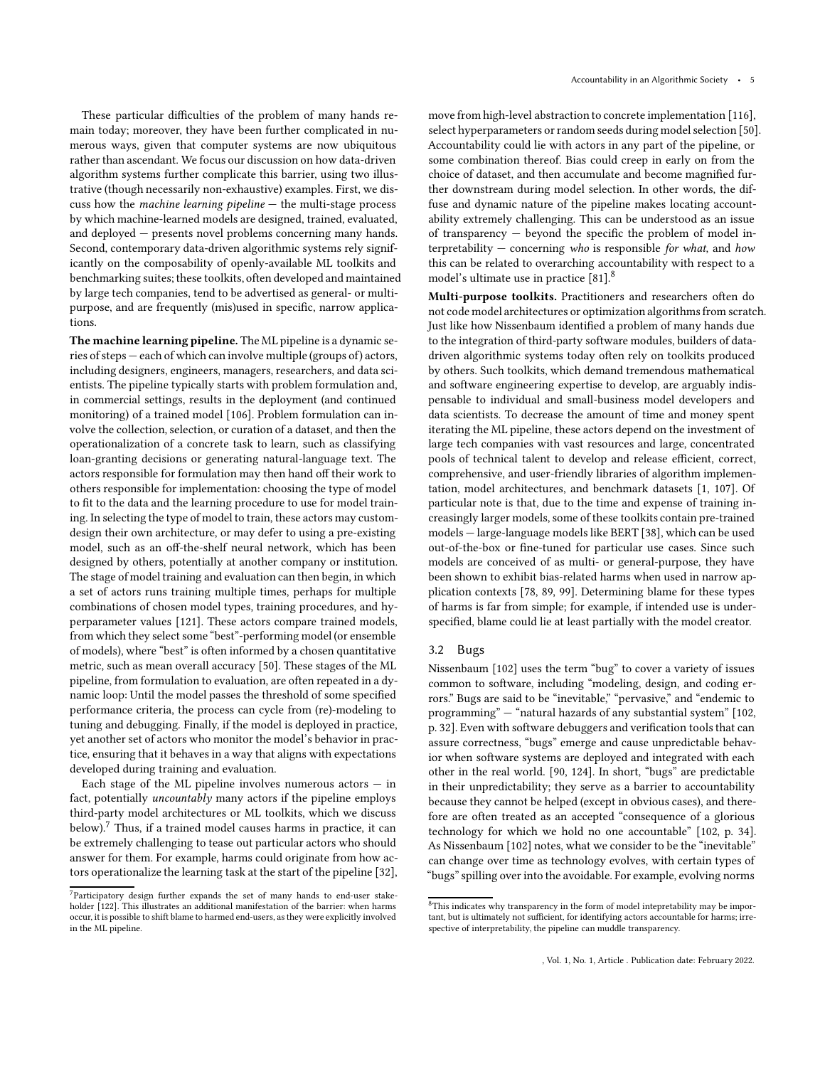These particular difficulties of the problem of many hands remain today; moreover, they have been further complicated in numerous ways, given that computer systems are now ubiquitous rather than ascendant. We focus our discussion on how data-driven algorithm systems further complicate this barrier, using two illustrative (though necessarily non-exhaustive) examples. First, we discuss how the machine learning pipeline — the multi-stage process by which machine-learned models are designed, trained, evaluated, and deployed — presents novel problems concerning many hands. Second, contemporary data-driven algorithmic systems rely significantly on the composability of openly-available ML toolkits and benchmarking suites; these toolkits, often developed and maintained by large tech companies, tend to be advertised as general- or multipurpose, and are frequently (mis)used in specific, narrow applications.

The machine learning pipeline. The ML pipeline is a dynamic series of steps — each of which can involve multiple (groups of) actors, including designers, engineers, managers, researchers, and data scientists. The pipeline typically starts with problem formulation and, in commercial settings, results in the deployment (and continued monitoring) of a trained model [\[106\]](#page-11-34). Problem formulation can involve the collection, selection, or curation of a dataset, and then the operationalization of a concrete task to learn, such as classifying loan-granting decisions or generating natural-language text. The actors responsible for formulation may then hand off their work to others responsible for implementation: choosing the type of model to fit to the data and the learning procedure to use for model training. In selecting the type of model to train, these actors may customdesign their own architecture, or may defer to using a pre-existing model, such as an off-the-shelf neural network, which has been designed by others, potentially at another company or institution. The stage of model training and evaluation can then begin, in which a set of actors runs training multiple times, perhaps for multiple combinations of chosen model types, training procedures, and hyperparameter values [\[121\]](#page-12-17). These actors compare trained models, from which they select some "best"-performing model (or ensemble of models), where "best" is often informed by a chosen quantitative metric, such as mean overall accuracy [\[50\]](#page-10-18). These stages of the ML pipeline, from formulation to evaluation, are often repeated in a dynamic loop: Until the model passes the threshold of some specified performance criteria, the process can cycle from (re)-modeling to tuning and debugging. Finally, if the model is deployed in practice, yet another set of actors who monitor the model's behavior in practice, ensuring that it behaves in a way that aligns with expectations developed during training and evaluation.

Each stage of the ML pipeline involves numerous actors — in fact, potentially uncountably many actors if the pipeline employs third-party model architectures or ML toolkits, which we discuss below). $7$  Thus, if a trained model causes harms in practice, it can be extremely challenging to tease out particular actors who should answer for them. For example, harms could originate from how actors operationalize the learning task at the start of the pipeline [\[32\]](#page-10-30), move from high-level abstraction to concrete implementation [\[116\]](#page-12-28), select hyperparameters or random seeds during model selection [\[50\]](#page-10-18). Accountability could lie with actors in any part of the pipeline, or some combination thereof. Bias could creep in early on from the choice of dataset, and then accumulate and become magnified further downstream during model selection. In other words, the diffuse and dynamic nature of the pipeline makes locating accountability extremely challenging. This can be understood as an issue of transparency — beyond the specific the problem of model interpretability  $-$  concerning who is responsible for what, and how this can be related to overarching accountability with respect to a model's ultimate use in practice [\[81](#page-11-25)].<sup>[8](#page-4-2)</sup>

Multi-purpose toolkits. Practitioners and researchers often do not code model architectures or optimization algorithms from scratch. Just like how Nissenbaum identified a problem of many hands due to the integration of third-party software modules, builders of datadriven algorithmic systems today often rely on toolkits produced by others. Such toolkits, which demand tremendous mathematical and software engineering expertise to develop, are arguably indispensable to individual and small-business model developers and data scientists. To decrease the amount of time and money spent iterating the ML pipeline, these actors depend on the investment of large tech companies with vast resources and large, concentrated pools of technical talent to develop and release efficient, correct, comprehensive, and user-friendly libraries of algorithm implementation, model architectures, and benchmark datasets [\[1,](#page-9-6) [107\]](#page-12-29). Of particular note is that, due to the time and expense of training increasingly larger models, some of these toolkits contain pre-trained models — large-language models like BERT [\[38](#page-10-31)], which can be used out-of-the-box or fine-tuned for particular use cases. Since such models are conceived of as multi- or general-purpose, they have been shown to exhibit bias-related harms when used in narrow application contexts [\[78,](#page-11-35) [89,](#page-11-36) [99\]](#page-11-37). Determining blame for these types of harms is far from simple; for example, if intended use is underspecified, blame could lie at least partially with the model creator.

#### <span id="page-4-0"></span>3.2 Bugs

Nissenbaum [\[102\]](#page-11-1) uses the term "bug" to cover a variety of issues common to software, including "modeling, design, and coding errors." Bugs are said to be "inevitable," "pervasive," and "endemic to programming" — "natural hazards of any substantial system" [\[102](#page-11-1), p. 32]. Even with software debuggers and verification tools that can assure correctness, "bugs" emerge and cause unpredictable behavior when software systems are deployed and integrated with each other in the real world. [\[90](#page-11-38), [124\]](#page-12-30). In short, "bugs" are predictable in their unpredictability; they serve as a barrier to accountability because they cannot be helped (except in obvious cases), and therefore are often treated as an accepted "consequence of a glorious technology for which we hold no one accountable" [\[102,](#page-11-1) p. 34]. As Nissenbaum [\[102\]](#page-11-1) notes, what we consider to be the "inevitable" can change over time as technology evolves, with certain types of "bugs" spilling over into the avoidable. For example, evolving norms

<span id="page-4-1"></span><sup>7</sup>Participatory design further expands the set of many hands to end-user stakeholder [\[122](#page-12-18)]. This illustrates an additional manifestation of the barrier: when harms occur, it is possible to shift blame to harmed end-users, as they were explicitly involved in the ML pipeline.

<span id="page-4-2"></span> $8$ This indicates why transparency in the form of model intepretability may be important, but is ultimately not sufficient, for identifying actors accountable for harms; irrespective of interpretability, the pipeline can muddle transparency.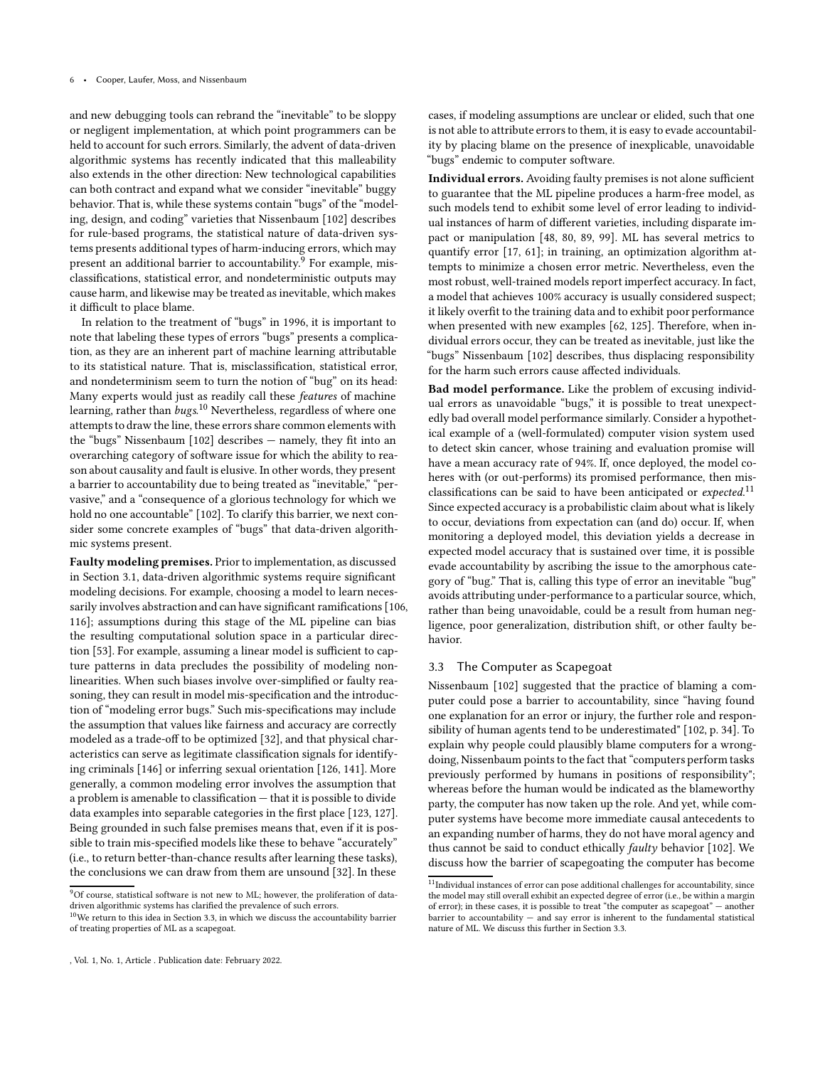and new debugging tools can rebrand the "inevitable" to be sloppy or negligent implementation, at which point programmers can be held to account for such errors. Similarly, the advent of data-driven algorithmic systems has recently indicated that this malleability also extends in the other direction: New technological capabilities can both contract and expand what we consider "inevitable" buggy behavior. That is, while these systems contain "bugs" of the "modeling, design, and coding" varieties that Nissenbaum [\[102](#page-11-1)] describes for rule-based programs, the statistical nature of data-driven systems presents additional types of harm-inducing errors, which may present an additional barrier to accountability.<sup>[9](#page-5-1)</sup> For example, misclassifications, statistical error, and nondeterministic outputs may cause harm, and likewise may be treated as inevitable, which makes it difficult to place blame.

In relation to the treatment of "bugs" in 1996, it is important to note that labeling these types of errors "bugs" presents a complication, as they are an inherent part of machine learning attributable to its statistical nature. That is, misclassification, statistical error, and nondeterminism seem to turn the notion of "bug" on its head: Many experts would just as readily call these features of machine learning, rather than bugs.<sup>[10](#page-5-2)</sup> Nevertheless, regardless of where one attempts to draw the line, these errors share common elements with the "bugs" Nissenbaum [\[102\]](#page-11-1) describes — namely, they fit into an overarching category of software issue for which the ability to reason about causality and fault is elusive. In other words, they present a barrier to accountability due to being treated as "inevitable," "pervasive," and a "consequence of a glorious technology for which we hold no one accountable" [\[102](#page-11-1)]. To clarify this barrier, we next consider some concrete examples of "bugs" that data-driven algorithmic systems present.

Faulty modeling premises. Prior to implementation, as discussed in Section [3.1,](#page-3-1) data-driven algorithmic systems require significant modeling decisions. For example, choosing a model to learn necessarily involves abstraction and can have significant ramifications [\[106,](#page-11-34) [116](#page-12-28)]; assumptions during this stage of the ML pipeline can bias the resulting computational solution space in a particular direction [\[53](#page-10-32)]. For example, assuming a linear model is sufficient to capture patterns in data precludes the possibility of modeling nonlinearities. When such biases involve over-simplified or faulty reasoning, they can result in model mis-specification and the introduction of "modeling error bugs." Such mis-specifications may include the assumption that values like fairness and accuracy are correctly modeled as a trade-off to be optimized [\[32\]](#page-10-30), and that physical characteristics can serve as legitimate classification signals for identifying criminals [\[146](#page-12-31)] or inferring sexual orientation [\[126,](#page-12-32) [141\]](#page-12-33). More generally, a common modeling error involves the assumption that a problem is amenable to classification — that it is possible to divide data examples into separable categories in the first place [\[123,](#page-12-34) [127](#page-12-35)]. Being grounded in such false premises means that, even if it is possible to train mis-specified models like these to behave "accurately" (i.e., to return better-than-chance results after learning these tasks), the conclusions we can draw from them are unsound [\[32](#page-10-30)]. In these

cases, if modeling assumptions are unclear or elided, such that one is not able to attribute errors to them, it is easy to evade accountability by placing blame on the presence of inexplicable, unavoidable "bugs" endemic to computer software.

Individual errors. Avoiding faulty premises is not alone sufficient to guarantee that the ML pipeline produces a harm-free model, as such models tend to exhibit some level of error leading to individual instances of harm of different varieties, including disparate impact or manipulation [\[48](#page-10-33), [80,](#page-11-9) [89,](#page-11-36) [99](#page-11-37)]. ML has several metrics to quantify error [\[17,](#page-10-34) [61](#page-11-39)]; in training, an optimization algorithm attempts to minimize a chosen error metric. Nevertheless, even the most robust, well-trained models report imperfect accuracy. In fact, a model that achieves 100% accuracy is usually considered suspect; it likely overfit to the training data and to exhibit poor performance when presented with new examples [\[62,](#page-11-40) [125\]](#page-12-36). Therefore, when individual errors occur, they can be treated as inevitable, just like the "bugs" Nissenbaum [\[102](#page-11-1)] describes, thus displacing responsibility for the harm such errors cause affected individuals.

Bad model performance. Like the problem of excusing individual errors as unavoidable "bugs," it is possible to treat unexpectedly bad overall model performance similarly. Consider a hypothetical example of a (well-formulated) computer vision system used to detect skin cancer, whose training and evaluation promise will have a mean accuracy rate of 94%. If, once deployed, the model coheres with (or out-performs) its promised performance, then mis-classifications can be said to have been anticipated or expected.<sup>[11](#page-5-3)</sup> Since expected accuracy is a probabilistic claim about what is likely to occur, deviations from expectation can (and do) occur. If, when monitoring a deployed model, this deviation yields a decrease in expected model accuracy that is sustained over time, it is possible evade accountability by ascribing the issue to the amorphous category of "bug." That is, calling this type of error an inevitable "bug" avoids attributing under-performance to a particular source, which, rather than being unavoidable, could be a result from human negligence, poor generalization, distribution shift, or other faulty behavior.

# <span id="page-5-0"></span>3.3 The Computer as Scapegoat

Nissenbaum [\[102\]](#page-11-1) suggested that the practice of blaming a computer could pose a barrier to accountability, since "having found one explanation for an error or injury, the further role and responsibility of human agents tend to be underestimated" [\[102,](#page-11-1) p. 34]. To explain why people could plausibly blame computers for a wrongdoing, Nissenbaum points to the fact that "computers perform tasks previously performed by humans in positions of responsibility"; whereas before the human would be indicated as the blameworthy party, the computer has now taken up the role. And yet, while computer systems have become more immediate causal antecedents to an expanding number of harms, they do not have moral agency and thus cannot be said to conduct ethically *faulty* behavior [\[102\]](#page-11-1). We discuss how the barrier of scapegoating the computer has become

 $9$ Of course, statistical software is not new to ML; however, the proliferation of datadriven algorithmic systems has clarified the prevalence of such errors.

<span id="page-5-2"></span><span id="page-5-1"></span> $10$ We return to this idea in Section [3.3,](#page-5-0) in which we discuss the accountability barrier of treating properties of ML as a scapegoat.

<span id="page-5-3"></span> $^{11}\mathrm{Individual}$  instances of error can pose additional challenges for accountability, since the model may still overall exhibit an expected degree of error (i.e., be within a margin of error); in these cases, it is possible to treat "the computer as scapegoat" — another barrier to accountability — and say error is inherent to the fundamental statistical nature of ML. We discuss this further in Section [3.3.](#page-5-0)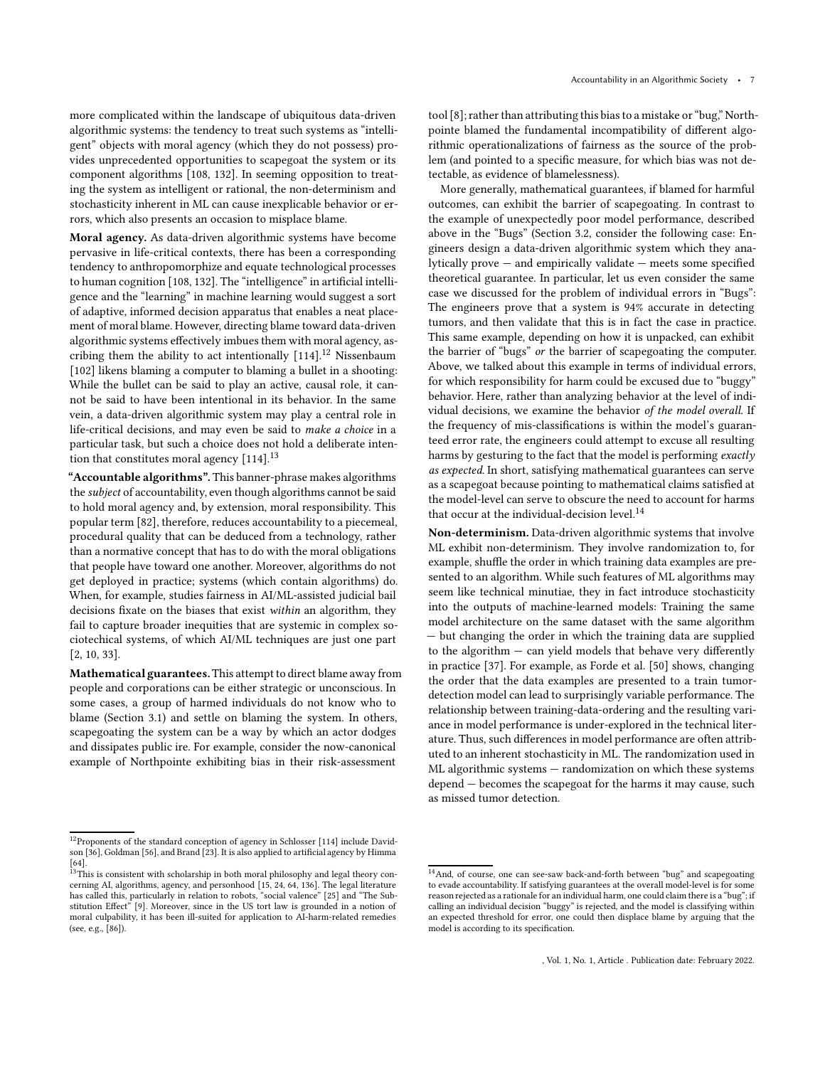more complicated within the landscape of ubiquitous data-driven algorithmic systems: the tendency to treat such systems as "intelligent" objects with moral agency (which they do not possess) provides unprecedented opportunities to scapegoat the system or its component algorithms [\[108](#page-12-37), [132\]](#page-12-38). In seeming opposition to treating the system as intelligent or rational, the non-determinism and stochasticity inherent in ML can cause inexplicable behavior or errors, which also presents an occasion to misplace blame.

Moral agency. As data-driven algorithmic systems have become pervasive in life-critical contexts, there has been a corresponding tendency to anthropomorphize and equate technological processes to human cognition [\[108,](#page-12-37) [132\]](#page-12-38). The "intelligence" in artificial intelligence and the "learning" in machine learning would suggest a sort of adaptive, informed decision apparatus that enables a neat placement of moral blame. However, directing blame toward data-driven algorithmic systems effectively imbues them with moral agency, ascribing them the ability to act intentionally  $[114]$ .<sup>[12](#page-6-0)</sup> Nissenbaum [\[102\]](#page-11-1) likens blaming a computer to blaming a bullet in a shooting: While the bullet can be said to play an active, causal role, it cannot be said to have been intentional in its behavior. In the same vein, a data-driven algorithmic system may play a central role in life-critical decisions, and may even be said to make a choice in a particular task, but such a choice does not hold a deliberate inten-tion that constitutes moral agency [\[114](#page-12-39)].<sup>[13](#page-6-1)</sup>

"Accountable algorithms". This banner-phrase makes algorithms the subject of accountability, even though algorithms cannot be said to hold moral agency and, by extension, moral responsibility. This popular term [\[82\]](#page-11-5), therefore, reduces accountability to a piecemeal, procedural quality that can be deduced from a technology, rather than a normative concept that has to do with the moral obligations that people have toward one another. Moreover, algorithms do not get deployed in practice; systems (which contain algorithms) do. When, for example, studies fairness in AI/ML-assisted judicial bail decisions fixate on the biases that exist within an algorithm, they fail to capture broader inequities that are systemic in complex sociotechical systems, of which AI/ML techniques are just one part [\[2](#page-9-7), [10,](#page-10-35) [33](#page-10-36)].

Mathematical guarantees.This attempt to direct blame away from people and corporations can be either strategic or unconscious. In some cases, a group of harmed individuals do not know who to blame (Section [3.1\)](#page-3-1) and settle on blaming the system. In others, scapegoating the system can be a way by which an actor dodges and dissipates public ire. For example, consider the now-canonical example of Northpointe exhibiting bias in their risk-assessment

tool [\[8](#page-9-1)]; rather than attributing this bias to a mistake or "bug," Northpointe blamed the fundamental incompatibility of different algorithmic operationalizations of fairness as the source of the problem (and pointed to a specific measure, for which bias was not detectable, as evidence of blamelessness).

More generally, mathematical guarantees, if blamed for harmful outcomes, can exhibit the barrier of scapegoating. In contrast to the example of unexpectedly poor model performance, described above in the "Bugs" (Section [3.2,](#page-4-0) consider the following case: Engineers design a data-driven algorithmic system which they analytically prove — and empirically validate — meets some specified theoretical guarantee. In particular, let us even consider the same case we discussed for the problem of individual errors in "Bugs": The engineers prove that a system is 94% accurate in detecting tumors, and then validate that this is in fact the case in practice. This same example, depending on how it is unpacked, can exhibit the barrier of "bugs" or the barrier of scapegoating the computer. Above, we talked about this example in terms of individual errors, for which responsibility for harm could be excused due to "buggy" behavior. Here, rather than analyzing behavior at the level of individual decisions, we examine the behavior of the model overall. If the frequency of mis-classifications is within the model's guaranteed error rate, the engineers could attempt to excuse all resulting harms by gesturing to the fact that the model is performing exactly as expected. In short, satisfying mathematical guarantees can serve as a scapegoat because pointing to mathematical claims satisfied at the model-level can serve to obscure the need to account for harms that occur at the individual-decision level.<sup>[14](#page-6-2)</sup>

Non-determinism. Data-driven algorithmic systems that involve ML exhibit non-determinism. They involve randomization to, for example, shuffle the order in which training data examples are presented to an algorithm. While such features of ML algorithms may seem like technical minutiae, they in fact introduce stochasticity into the outputs of machine-learned models: Training the same model architecture on the same dataset with the same algorithm — but changing the order in which the training data are supplied to the algorithm  $-$  can yield models that behave very differently in practice [\[37\]](#page-10-43). For example, as Forde et al. [\[50](#page-10-18)] shows, changing the order that the data examples are presented to a train tumordetection model can lead to surprisingly variable performance. The relationship between training-data-ordering and the resulting variance in model performance is under-explored in the technical literature. Thus, such differences in model performance are often attributed to an inherent stochasticity in ML. The randomization used in ML algorithmic systems — randomization on which these systems depend — becomes the scapegoat for the harms it may cause, such as missed tumor detection.

<span id="page-6-0"></span> $^{12}$  Proponents of the standard conception of agency in Schlosser [\[114\]](#page-12-39) include Davidson [\[36](#page-10-37)], Goldman [\[56\]](#page-10-38), and Brand [\[23\]](#page-10-39). It is also applied to artificial agency by Himma

<span id="page-6-1"></span>[<sup>\[64\]</sup>](#page-11-41).<br><sup>13</sup>This is consistent with scholarship in both moral philosophy and legal theory con-<br>cerning AI, algorithms, agency, and personhood [\[15](#page-10-40), [24](#page-10-41), [64](#page-11-41), [136](#page-12-40)]. The legal literature has called this, particularly in relation to robots, "social valence" [\[25](#page-10-42)] and "The Substitution Effect" [\[9\]](#page-9-8). Moreover, since in the US tort law is grounded in a notion of moral culpability, it has been ill-suited for application to AI-harm-related remedies (see, e.g., [\[86\]](#page-11-42)).

<span id="page-6-2"></span> $^{14}\mbox{And, of course, one can see-saw back-and-forth between "bug" and scapegoding$ to evade accountability. If satisfying guarantees at the overall model-level is for some reason rejected as a rationale for an individual harm, one could claim there is a "bug"; if calling an individual decision "buggy" is rejected, and the model is classifying within an expected threshold for error, one could then displace blame by arguing that the model is according to its specification.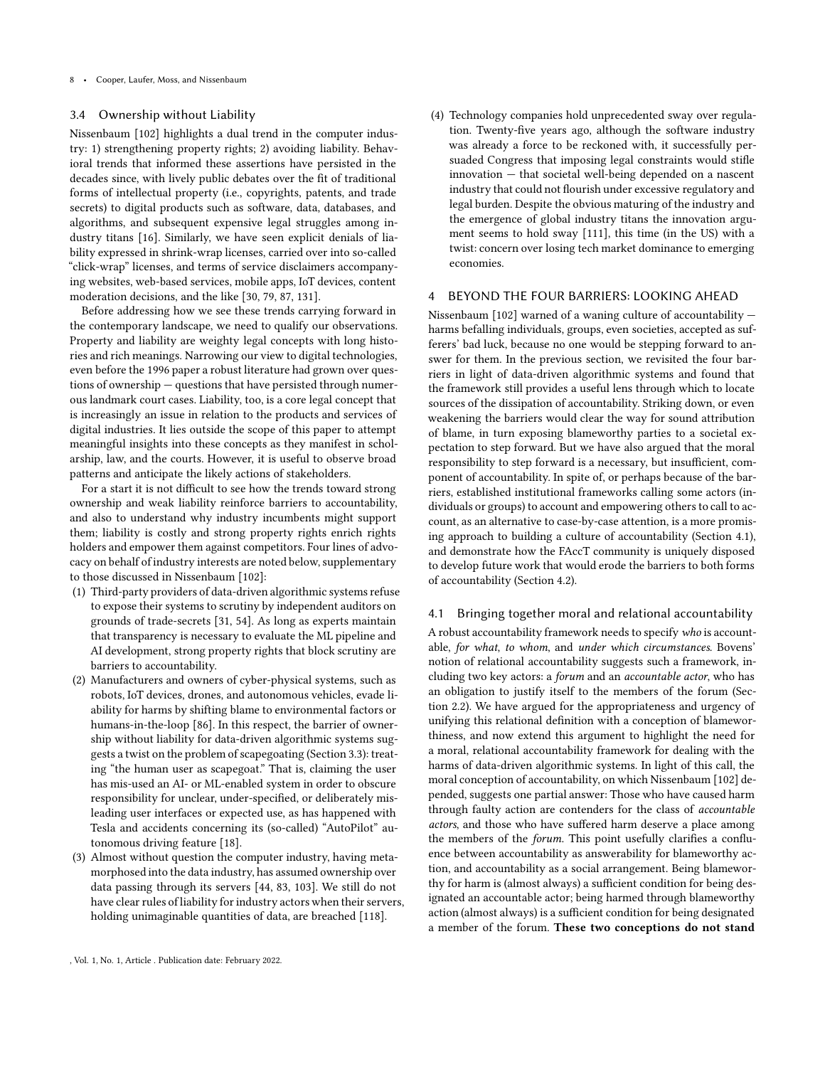#### <span id="page-7-1"></span>3.4 Ownership without Liability

Nissenbaum [\[102](#page-11-1)] highlights a dual trend in the computer industry: 1) strengthening property rights; 2) avoiding liability. Behavioral trends that informed these assertions have persisted in the decades since, with lively public debates over the fit of traditional forms of intellectual property (i.e., copyrights, patents, and trade secrets) to digital products such as software, data, databases, and algorithms, and subsequent expensive legal struggles among industry titans [\[16](#page-10-44)]. Similarly, we have seen explicit denials of liability expressed in shrink-wrap licenses, carried over into so-called "click-wrap" licenses, and terms of service disclaimers accompanying websites, web-based services, mobile apps, IoT devices, content moderation decisions, and the like [\[30](#page-10-3), [79,](#page-11-43) [87](#page-11-44), [131\]](#page-12-41).

Before addressing how we see these trends carrying forward in the contemporary landscape, we need to qualify our observations. Property and liability are weighty legal concepts with long histories and rich meanings. Narrowing our view to digital technologies, even before the 1996 paper a robust literature had grown over questions of ownership — questions that have persisted through numerous landmark court cases. Liability, too, is a core legal concept that is increasingly an issue in relation to the products and services of digital industries. It lies outside the scope of this paper to attempt meaningful insights into these concepts as they manifest in scholarship, law, and the courts. However, it is useful to observe broad patterns and anticipate the likely actions of stakeholders.

For a start it is not difficult to see how the trends toward strong ownership and weak liability reinforce barriers to accountability, and also to understand why industry incumbents might support them; liability is costly and strong property rights enrich rights holders and empower them against competitors. Four lines of advocacy on behalf of industry interests are noted below, supplementary to those discussed in Nissenbaum [\[102\]](#page-11-1):

- (1) Third-party providers of data-driven algorithmic systems refuse to expose their systems to scrutiny by independent auditors on grounds of trade-secrets [\[31,](#page-10-12) [54](#page-10-45)]. As long as experts maintain that transparency is necessary to evaluate the ML pipeline and AI development, strong property rights that block scrutiny are barriers to accountability.
- (2) Manufacturers and owners of cyber-physical systems, such as robots, IoT devices, drones, and autonomous vehicles, evade liability for harms by shifting blame to environmental factors or humans-in-the-loop [\[86\]](#page-11-42). In this respect, the barrier of ownership without liability for data-driven algorithmic systems suggests a twist on the problem of scapegoating (Section [3.3\)](#page-5-0): treating "the human user as scapegoat." That is, claiming the user has mis-used an AI- or ML-enabled system in order to obscure responsibility for unclear, under-specified, or deliberately misleading user interfaces or expected use, as has happened with Tesla and accidents concerning its (so-called) "AutoPilot" autonomous driving feature [\[18\]](#page-10-46).
- (3) Almost without question the computer industry, having metamorphosed into the data industry, has assumed ownership over data passing through its servers [\[44,](#page-10-11) [83,](#page-11-22) [103](#page-11-18)]. We still do not have clear rules of liability for industry actors when their servers, holding unimaginable quantities of data, are breached [\[118](#page-12-42)].

(4) Technology companies hold unprecedented sway over regulation. Twenty-five years ago, although the software industry was already a force to be reckoned with, it successfully persuaded Congress that imposing legal constraints would stifle innovation — that societal well-being depended on a nascent industry that could not flourish under excessive regulatory and legal burden. Despite the obvious maturing of the industry and the emergence of global industry titans the innovation argument seems to hold sway [\[111](#page-12-43)], this time (in the US) with a twist: concern over losing tech market dominance to emerging economies.

## <span id="page-7-0"></span>4 BEYOND THE FOUR BARRIERS: LOOKING AHEAD

Nissenbaum [\[102](#page-11-1)] warned of a waning culture of accountability harms befalling individuals, groups, even societies, accepted as sufferers' bad luck, because no one would be stepping forward to answer for them. In the previous section, we revisited the four barriers in light of data-driven algorithmic systems and found that the framework still provides a useful lens through which to locate sources of the dissipation of accountability. Striking down, or even weakening the barriers would clear the way for sound attribution of blame, in turn exposing blameworthy parties to a societal expectation to step forward. But we have also argued that the moral responsibility to step forward is a necessary, but insufficient, component of accountability. In spite of, or perhaps because of the barriers, established institutional frameworks calling some actors (individuals or groups) to account and empowering others to call to account, as an alternative to case-by-case attention, is a more promising approach to building a culture of accountability (Section [4.1\)](#page-7-2), and demonstrate how the FAccT community is uniquely disposed to develop future work that would erode the barriers to both forms of accountability (Section [4.2\)](#page-8-0).

#### <span id="page-7-2"></span>4.1 Bringing together moral and relational accountability

A robust accountability framework needs to specify who is accountable, for what, to whom, and under which circumstances. Bovens' notion of relational accountability suggests such a framework, including two key actors: a forum and an accountable actor, who has an obligation to justify itself to the members of the forum (Section [2.2\)](#page-2-1). We have argued for the appropriateness and urgency of unifying this relational definition with a conception of blameworthiness, and now extend this argument to highlight the need for a moral, relational accountability framework for dealing with the harms of data-driven algorithmic systems. In light of this call, the moral conception of accountability, on which Nissenbaum [\[102](#page-11-1)] depended, suggests one partial answer: Those who have caused harm through faulty action are contenders for the class of accountable actors, and those who have suffered harm deserve a place among the members of the forum. This point usefully clarifies a confluence between accountability as answerability for blameworthy action, and accountability as a social arrangement. Being blameworthy for harm is (almost always) a sufficient condition for being designated an accountable actor; being harmed through blameworthy action (almost always) is a sufficient condition for being designated a member of the forum. These two conceptions do not stand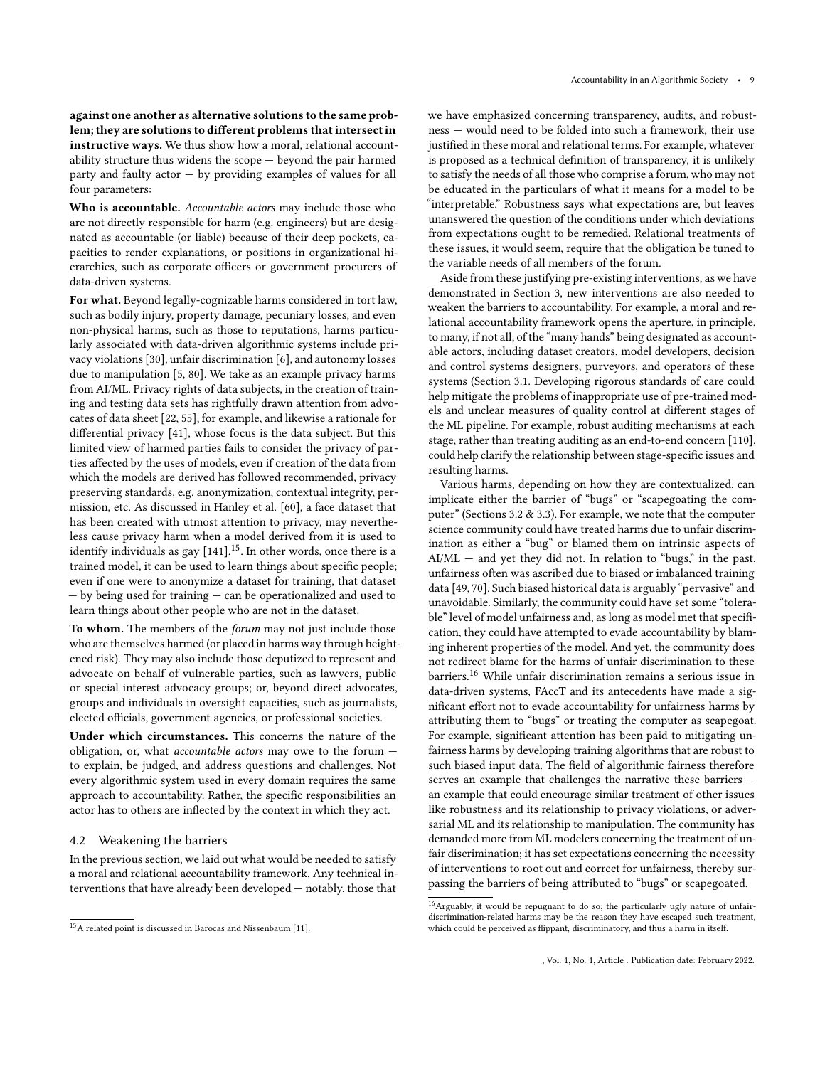against one another as alternative solutions to the same problem; they are solutions to different problems that intersectin instructive ways. We thus show how a moral, relational accountability structure thus widens the scope — beyond the pair harmed party and faulty actor — by providing examples of values for all four parameters:

Who is accountable. Accountable actors may include those who are not directly responsible for harm (e.g. engineers) but are designated as accountable (or liable) because of their deep pockets, capacities to render explanations, or positions in organizational hierarchies, such as corporate officers or government procurers of data-driven systems.

For what. Beyond legally-cognizable harms considered in tort law, such as bodily injury, property damage, pecuniary losses, and even non-physical harms, such as those to reputations, harms particularly associated with data-driven algorithmic systems include privacy violations [\[30](#page-10-3)], unfair discrimination [\[6](#page-9-0)], and autonomy losses due to manipulation [\[5,](#page-9-2) [80](#page-11-9)]. We take as an example privacy harms from AI/ML. Privacy rights of data subjects, in the creation of training and testing data sets has rightfully drawn attention from advocates of data sheet [\[22,](#page-10-6) [55\]](#page-10-4), for example, and likewise a rationale for differential privacy [\[41](#page-10-47)], whose focus is the data subject. But this limited view of harmed parties fails to consider the privacy of parties affected by the uses of models, even if creation of the data from which the models are derived has followed recommended, privacy preserving standards, e.g. anonymization, contextual integrity, permission, etc. As discussed in Hanley et al. [\[60\]](#page-10-48), a face dataset that has been created with utmost attention to privacy, may nevertheless cause privacy harm when a model derived from it is used to identify individuals as gay  $[141]^{15}.$  $[141]^{15}.$  $[141]^{15}.$  In other words, once there is a trained model, it can be used to learn things about specific people; even if one were to anonymize a dataset for training, that dataset — by being used for training — can be operationalized and used to learn things about other people who are not in the dataset.

To whom. The members of the forum may not just include those who are themselves harmed (or placed in harms way through heightened risk). They may also include those deputized to represent and advocate on behalf of vulnerable parties, such as lawyers, public or special interest advocacy groups; or, beyond direct advocates, groups and individuals in oversight capacities, such as journalists, elected officials, government agencies, or professional societies.

Under which circumstances. This concerns the nature of the obligation, or, what accountable actors may owe to the forum to explain, be judged, and address questions and challenges. Not every algorithmic system used in every domain requires the same approach to accountability. Rather, the specific responsibilities an actor has to others are inflected by the context in which they act.

## <span id="page-8-0"></span>4.2 Weakening the barriers

In the previous section, we laid out what would be needed to satisfy a moral and relational accountability framework. Any technical interventions that have already been developed — notably, those that

we have emphasized concerning transparency, audits, and robustness — would need to be folded into such a framework, their use justified in these moral and relational terms. For example, whatever is proposed as a technical definition of transparency, it is unlikely to satisfy the needs of all those who comprise a forum, who may not be educated in the particulars of what it means for a model to be "interpretable." Robustness says what expectations are, but leaves unanswered the question of the conditions under which deviations from expectations ought to be remedied. Relational treatments of these issues, it would seem, require that the obligation be tuned to the variable needs of all members of the forum.

Aside from these justifying pre-existing interventions, as we have demonstrated in Section [3,](#page-3-0) new interventions are also needed to weaken the barriers to accountability. For example, a moral and relational accountability framework opens the aperture, in principle, to many, if not all, of the "many hands" being designated as accountable actors, including dataset creators, model developers, decision and control systems designers, purveyors, and operators of these systems (Section [3.1.](#page-3-1) Developing rigorous standards of care could help mitigate the problems of inappropriate use of pre-trained models and unclear measures of quality control at different stages of the ML pipeline. For example, robust auditing mechanisms at each stage, rather than treating auditing as an end-to-end concern [\[110\]](#page-12-4), could help clarify the relationship between stage-specific issues and resulting harms.

Various harms, depending on how they are contextualized, can implicate either the barrier of "bugs" or "scapegoating the computer" (Sections [3.2](#page-4-0) & [3.3\)](#page-5-0). For example, we note that the computer science community could have treated harms due to unfair discrimination as either a "bug" or blamed them on intrinsic aspects of  $AI/ML$  — and yet they did not. In relation to "bugs," in the past, unfairness often was ascribed due to biased or imbalanced training data [\[49,](#page-10-50) [70\]](#page-11-45). Such biased historical data is arguably "pervasive" and unavoidable. Similarly, the community could have set some "tolerable" level of model unfairness and, as long as model met that specification, they could have attempted to evade accountability by blaming inherent properties of the model. And yet, the community does not redirect blame for the harms of unfair discrimination to these barriers.[16](#page-8-2) While unfair discrimination remains a serious issue in data-driven systems, FAccT and its antecedents have made a significant effort not to evade accountability for unfairness harms by attributing them to "bugs" or treating the computer as scapegoat. For example, significant attention has been paid to mitigating unfairness harms by developing training algorithms that are robust to such biased input data. The field of algorithmic fairness therefore serves an example that challenges the narrative these barriers an example that could encourage similar treatment of other issues like robustness and its relationship to privacy violations, or adversarial ML and its relationship to manipulation. The community has demanded more from ML modelers concerning the treatment of unfair discrimination; it has set expectations concerning the necessity of interventions to root out and correct for unfairness, thereby surpassing the barriers of being attributed to "bugs" or scapegoated.

<span id="page-8-1"></span><sup>15</sup>A related point is discussed in Barocas and Nissenbaum [\[11](#page-10-49)].

<span id="page-8-2"></span><sup>16</sup>Arguably, it would be repugnant to do so; the particularly ugly nature of unfairdiscrimination-related harms may be the reason they have escaped such treatment, which could be perceived as flippant, discriminatory, and thus a harm in itself.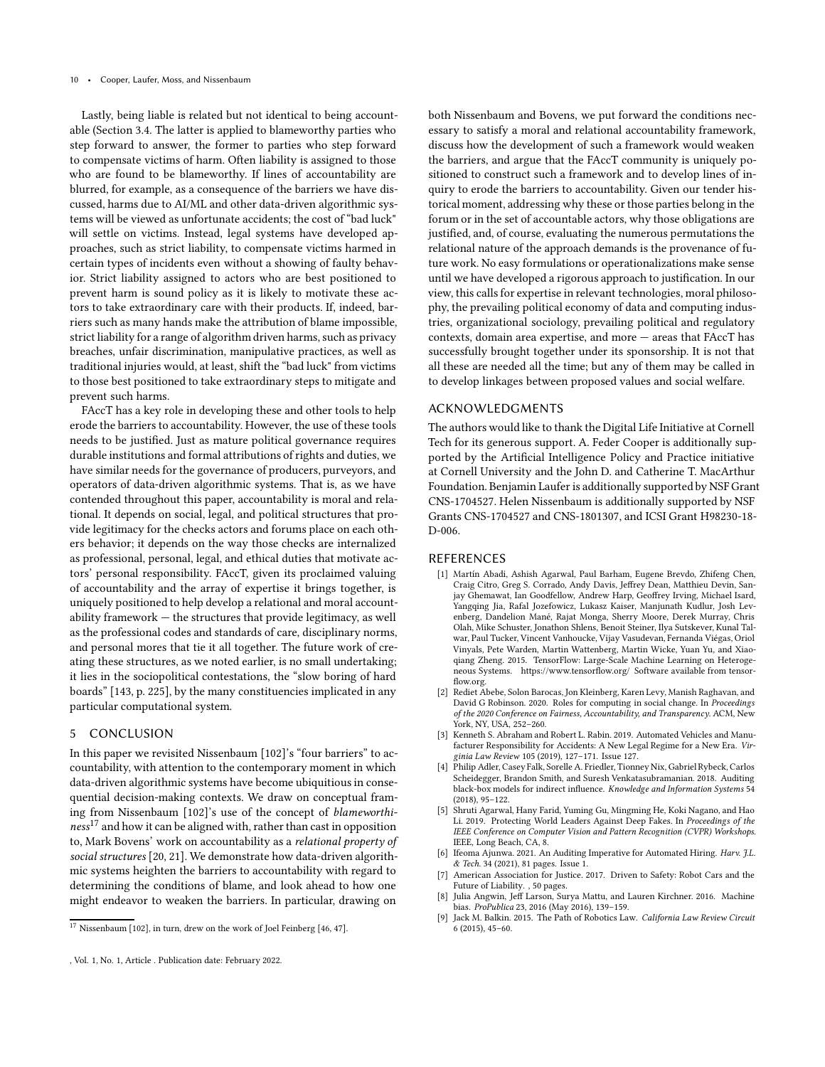Lastly, being liable is related but not identical to being accountable (Section [3.4.](#page-7-1) The latter is applied to blameworthy parties who step forward to answer, the former to parties who step forward to compensate victims of harm. Often liability is assigned to those who are found to be blameworthy. If lines of accountability are blurred, for example, as a consequence of the barriers we have discussed, harms due to AI/ML and other data-driven algorithmic systems will be viewed as unfortunate accidents; the cost of "bad luck" will settle on victims. Instead, legal systems have developed approaches, such as strict liability, to compensate victims harmed in certain types of incidents even without a showing of faulty behavior. Strict liability assigned to actors who are best positioned to prevent harm is sound policy as it is likely to motivate these actors to take extraordinary care with their products. If, indeed, barriers such as many hands make the attribution of blame impossible, strict liability for a range of algorithm driven harms, such as privacy breaches, unfair discrimination, manipulative practices, as well as traditional injuries would, at least, shift the "bad luck" from victims to those best positioned to take extraordinary steps to mitigate and prevent such harms.

FAccT has a key role in developing these and other tools to help erode the barriers to accountability. However, the use of these tools needs to be justified. Just as mature political governance requires durable institutions and formal attributions of rights and duties, we have similar needs for the governance of producers, purveyors, and operators of data-driven algorithmic systems. That is, as we have contended throughout this paper, accountability is moral and relational. It depends on social, legal, and political structures that provide legitimacy for the checks actors and forums place on each others behavior; it depends on the way those checks are internalized as professional, personal, legal, and ethical duties that motivate actors' personal responsibility. FAccT, given its proclaimed valuing of accountability and the array of expertise it brings together, is uniquely positioned to help develop a relational and moral accountability framework — the structures that provide legitimacy, as well as the professional codes and standards of care, disciplinary norms, and personal mores that tie it all together. The future work of creating these structures, as we noted earlier, is no small undertaking; it lies in the sociopolitical contestations, the "slow boring of hard boards" [\[143](#page-12-27), p. 225], by the many constituencies implicated in any particular computational system.

### 5 CONCLUSION

In this paper we revisited Nissenbaum [\[102](#page-11-1)]'s "four barriers" to accountability, with attention to the contemporary moment in which data-driven algorithmic systems have become ubiquitious in consequential decision-making contexts. We draw on conceptual framing from Nissenbaum [\[102\]](#page-11-1)'s use of the concept of blameworthi-ness<sup>[17](#page-9-9)</sup> and how it can be aligned with, rather than cast in opposition to, Mark Bovens' work on accountability as a relational property of social structures [\[20,](#page-10-28) [21\]](#page-10-29). We demonstrate how data-driven algorithmic systems heighten the barriers to accountability with regard to determining the conditions of blame, and look ahead to how one might endeavor to weaken the barriers. In particular, drawing on

both Nissenbaum and Bovens, we put forward the conditions necessary to satisfy a moral and relational accountability framework, discuss how the development of such a framework would weaken the barriers, and argue that the FAccT community is uniquely positioned to construct such a framework and to develop lines of inquiry to erode the barriers to accountability. Given our tender historical moment, addressing why these or those parties belong in the forum or in the set of accountable actors, why those obligations are justified, and, of course, evaluating the numerous permutations the relational nature of the approach demands is the provenance of future work. No easy formulations or operationalizations make sense until we have developed a rigorous approach to justification. In our view, this calls for expertise in relevant technologies, moral philosophy, the prevailing political economy of data and computing industries, organizational sociology, prevailing political and regulatory contexts, domain area expertise, and more — areas that FAccT has successfully brought together under its sponsorship. It is not that all these are needed all the time; but any of them may be called in to develop linkages between proposed values and social welfare.

## ACKNOWLEDGMENTS

The authors would like to thank the Digital Life Initiative at Cornell Tech for its generous support. A. Feder Cooper is additionally supported by the Artificial Intelligence Policy and Practice initiative at Cornell University and the John D. and Catherine T. MacArthur Foundation. Benjamin Laufer is additionally supported by NSF Grant CNS-1704527. Helen Nissenbaum is additionally supported by NSF Grants CNS-1704527 and CNS-1801307, and ICSI Grant H98230-18- D-006.

#### REFERENCES

- <span id="page-9-6"></span>[1] Martín Abadi, Ashish Agarwal, Paul Barham, Eugene Brevdo, Zhifeng Chen, Craig Citro, Greg S. Corrado, Andy Davis, Jeffrey Dean, Matthieu Devin, Sanjay Ghemawat, Ian Goodfellow, Andrew Harp, Geoffrey Irving, Michael Isard, Yangqing Jia, Rafal Jozefowicz, Lukasz Kaiser, Manjunath Kudlur, Josh Levenberg, Dandelion Mané, Rajat Monga, Sherry Moore, Derek Murray, Chris Olah, Mike Schuster, Jonathon Shlens, Benoit Steiner, Ilya Sutskever, Kunal Talwar, Paul Tucker, Vincent Vanhoucke, Vijay Vasudevan, Fernanda Viégas, Oriol Vinyals, Pete Warden, Martin Wattenberg, Martin Wicke, Yuan Yu, and Xiaoqiang Zheng. 2015. TensorFlow: Large-Scale Machine Learning on Heterogeneous Systems.<https://www.tensorflow.org/> Software available from tensorflow.org.
- <span id="page-9-7"></span>[2] Rediet Abebe, Solon Barocas, Jon Kleinberg, Karen Levy, Manish Raghavan, and David G Robinson. 2020. Roles for computing in social change. In Proceedings of the 2020 Conference on Fairness, Accountability, and Transparency. ACM, New York, NY, USA, 252–260.
- <span id="page-9-3"></span>[3] Kenneth S. Abraham and Robert L. Rabin. 2019. Automated Vehicles and Manufacturer Responsibility for Accidents: A New Legal Regime for a New Era. Virginia Law Review 105 (2019), 127–171. Issue 127.
- <span id="page-9-5"></span>[4] Philip Adler, Casey Falk, Sorelle A. Friedler, Tionney Nix, Gabriel Rybeck, Carlos Scheidegger, Brandon Smith, and Suresh Venkatasubramanian. 2018. Auditing black-box models for indirect influence. Knowledge and Information Systems 54 (2018), 95–122.
- <span id="page-9-2"></span>[5] Shruti Agarwal, Hany Farid, Yuming Gu, Mingming He, Koki Nagano, and Hao Li. 2019. Protecting World Leaders Against Deep Fakes. In Proceedings of the IEEE Conference on Computer Vision and Pattern Recognition (CVPR) Workshops. IEEE, Long Beach, CA, 8.
- <span id="page-9-0"></span>[6] Ifeoma Ajunwa. 2021. An Auditing Imperative for Automated Hiring. Harv. J.L. & Tech. 34 (2021), 81 pages. Issue 1.
- <span id="page-9-4"></span>[7] American Association for Justice. 2017. Driven to Safety: Robot Cars and the Future of Liability. , 50 pages.
- <span id="page-9-1"></span>[8] Julia Angwin, Jeff Larson, Surya Mattu, and Lauren Kirchner. 2016. Machine bias. ProPublica 23, 2016 (May 2016), 139–159.
- <span id="page-9-8"></span>[9] Jack M. Balkin. 2015. The Path of Robotics Law. California Law Review Circuit 6 (2015), 45–60.

<span id="page-9-9"></span> $17$  Nissenbaum [\[102\]](#page-11-1), in turn, drew on the work of Joel Feinberg [\[46,](#page-10-23) [47](#page-10-24)].

<sup>,</sup> Vol. 1, No. 1, Article . Publication date: February 2022.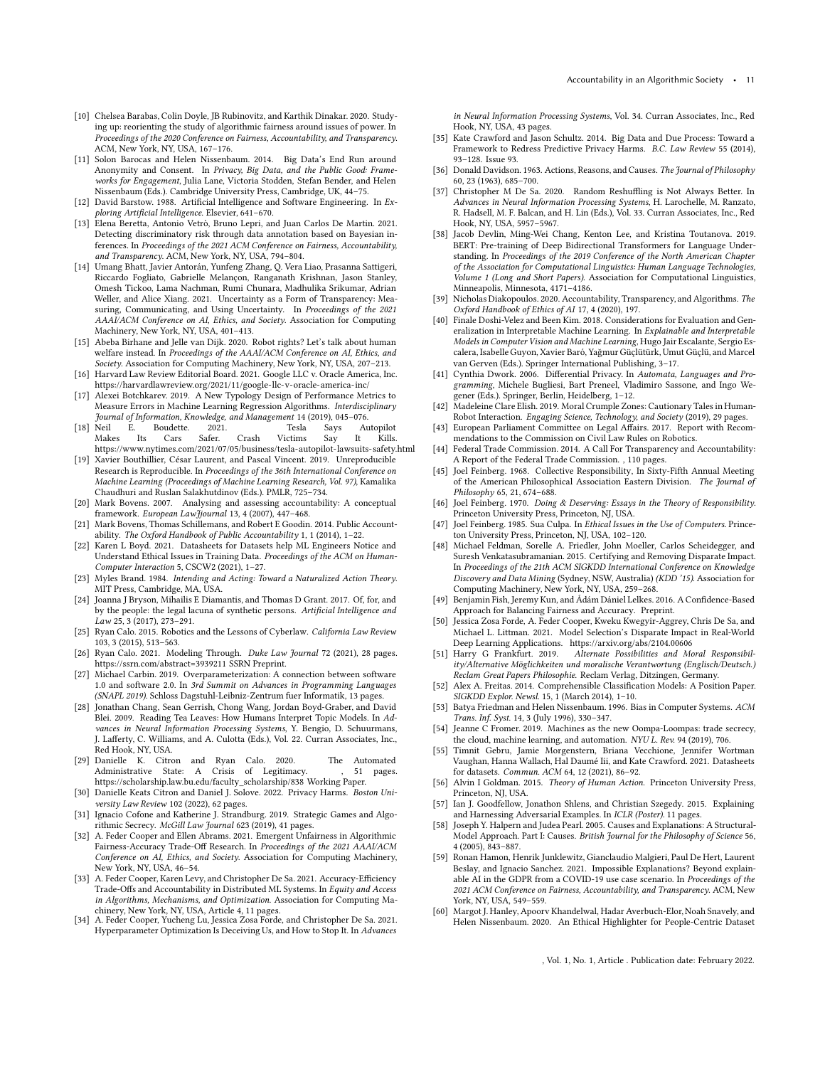- <span id="page-10-35"></span>[10] Chelsea Barabas, Colin Doyle, JB Rubinovitz, and Karthik Dinakar. 2020. Studying up: reorienting the study of algorithmic fairness around issues of power. In Proceedings of the 2020 Conference on Fairness, Accountability, and Transparency. ACM, New York, NY, USA, 167–176.
- <span id="page-10-49"></span>[11] Solon Barocas and Helen Nissenbaum. 2014. Big Data's End Run around Anonymity and Consent. In Privacy, Big Data, and the Public Good: Frameworks for Engagement, Julia Lane, Victoria Stodden, Stefan Bender, and Helen Nissenbaum (Eds.). Cambridge University Press, Cambridge, UK, 44–75.
- <span id="page-10-1"></span>[12] David Barstow. 1988. Artificial Intelligence and Software Engineering. In Exploring Artificial Intelligence. Elsevier, 641–670.
- <span id="page-10-5"></span>[13] Elena Beretta, Antonio Vetrò, Bruno Lepri, and Juan Carlos De Martin. 2021. Detecting discriminatory risk through data annotation based on Bayesian inferences. In Proceedings of the 2021 ACM Conference on Fairness, Accountability, and Transparency. ACM, New York, NY, USA, 794–804.
- <span id="page-10-15"></span>[14] Umang Bhatt, Javier Antorán, Yunfeng Zhang, Q. Vera Liao, Prasanna Sattigeri, Riccardo Fogliato, Gabrielle Melançon, Ranganath Krishnan, Jason Stanley, Omesh Tickoo, Lama Nachman, Rumi Chunara, Madhulika Srikumar, Adrian Weller, and Alice Xiang. 2021. Uncertainty as a Form of Transparency: Measuring, Communicating, and Using Uncertainty. In Proceedings of the 2021 AAAI/ACM Conference on AI, Ethics, and Society. Association for Computing Machinery, New York, NY, USA, 401–413.
- <span id="page-10-40"></span>[15] Abeba Birhane and Jelle van Dijk. 2020. Robot rights? Let's talk about human welfare instead. In Proceedings of the AAAI/ACM Conference on AI, Ethics, and Society. Association for Computing Machinery, New York, NY, USA, 207–213.
- <span id="page-10-44"></span>[16] Harvard Law Review Editorial Board. 2021. Google LLC v. Oracle America, Inc. <https://harvardlawreview.org/2021/11/google-llc-v-oracle-america-inc/>
- <span id="page-10-34"></span>[17] Alexei Botchkarev. 2019. A New Typology Design of Performance Metrics to Measure Errors in Machine Learning Regression Algorithms. Interdisciplinary Journal of Information, Knowledge, and Management 14 (2019), 045–076. F. Boudette. 2021. Tesla Says
- <span id="page-10-46"></span>Makes Its Cars Safer. Crash Victims Say It Kills. <https://www.nytimes.com/2021/07/05/business/tesla-autopilot-lawsuits-safety.html>
- <span id="page-10-19"></span>[19] Xavier Bouthillier, César Laurent, and Pascal Vincent. 2019. Unreproducible Research is Reproducible. In Proceedings of the 36th International Conference on Machine Learning (Proceedings of Machine Learning Research, Vol. 97), Kamalika Chaudhuri and Ruslan Salakhutdinov (Eds.). PMLR, 725–734.
- <span id="page-10-28"></span>[20] Mark Bovens. 2007. Analysing and assessing accountability: A conceptual framework. European LawJjournal 13, 4 (2007), 447-468.
- <span id="page-10-29"></span>[21] Mark Bovens, Thomas Schillemans, and Robert E Goodin. 2014. Public Accountability. The Oxford Handbook of Public Accountability 1, 1 (2014), 1–22.
- <span id="page-10-6"></span>[22] Karen L Boyd. 2021. Datasheets for Datasets help ML Engineers Notice and Understand Ethical Issues in Training Data. Proceedings of the ACM on Human-Computer Interaction 5, CSCW2 (2021), 1–27.
- <span id="page-10-39"></span>[23] Myles Brand. 1984. Intending and Acting: Toward a Naturalized Action Theory. MIT Press, Cambridge, MA, USA.
- <span id="page-10-41"></span>[24] Joanna J Bryson, Mihailis E Diamantis, and Thomas D Grant. 2017. Of, for, and by the people: the legal lacuna of synthetic persons. Artificial Intelligence and Law 25, 3 (2017), 273–291.
- <span id="page-10-42"></span>[25] Ryan Calo. 2015. Robotics and the Lessons of Cyberlaw. California Law Review 103, 3 (2015), 513–563.
- <span id="page-10-13"></span>[26] Ryan Calo. 2021. Modeling Through. Duke Law Journal 72 (2021), 28 pages. <https://ssrn.com/abstract=3939211> SSRN Preprint.
- <span id="page-10-2"></span>[27] Michael Carbin. 2019. Overparameterization: A connection between software 1.0 and software 2.0. In 3rd Summit on Advances in Programming Languages (SNAPL 2019). Schloss Dagstuhl-Leibniz-Zentrum fuer Informatik, 13 pages.
- <span id="page-10-22"></span>[28] Jonathan Chang, Sean Gerrish, Chong Wang, Jordan Boyd-Graber, and David Blei. 2009. Reading Tea Leaves: How Humans Interpret Topic Models. In Advances in Neural Information Processing Systems, Y. Bengio, D. Schuurmans, J. Lafferty, C. Williams, and A. Culotta (Eds.), Vol. 22. Curran Associates, Inc., Red Hook, NY, USA.
- <span id="page-10-14"></span>[29] Danielle K. Citron and Ryan Calo. 2020. The Automated Administrative State: A Crisis of Legitimacy. [https://scholarship.law.bu.edu/faculty\\_scholarship/838](https://scholarship.law.bu.edu/faculty_scholarship/838) Working Paper.
- <span id="page-10-3"></span>[30] Danielle Keats Citron and Daniel J. Solove. 2022. Privacy Harms. Boston University Law Review 102 (2022), 62 pages.
- <span id="page-10-12"></span>[31] Ignacio Cofone and Katherine J. Strandburg. 2019. Strategic Games and Algorithmic Secrecy. McGill Law Journal 623 (2019), 41 pages.
- <span id="page-10-30"></span>[32] A. Feder Cooper and Ellen Abrams. 2021. Emergent Unfairness in Algorithmic Fairness-Accuracy Trade-Off Research. In Proceedings of the 2021 AAAI/ACM Conference on AI, Ethics, and Society. Association for Computing Machinery, New York, NY, USA, 46–54.
- <span id="page-10-36"></span>[33] A. Feder Cooper, Karen Levy, and Christopher De Sa. 2021. Accuracy-Efficiency Trade-Offs and Accountability in Distributed ML Systems. In Equity and Access in Algorithms, Mechanisms, and Optimization. Association for Computing Ma-
- <span id="page-10-20"></span>chinery, New York, NY, USA, Article 4, 11 pages. [34] A. Feder Cooper, Yucheng Lu, Jessica Zosa Forde, and Christopher De Sa. 2021. Hyperparameter Optimization Is Deceiving Us, and How to Stop It. In Advances

in Neural Information Processing Systems, Vol. 34. Curran Associates, Inc., Red Hook, NY, USA, 43 pages.

- <span id="page-10-9"></span>[35] Kate Crawford and Jason Schultz. 2014. Big Data and Due Process: Toward a Framework to Redress Predictive Privacy Harms. B.C. Law Review 55 (2014), 93–128. Issue 93.
- <span id="page-10-37"></span>[36] Donald Davidson. 1963. Actions, Reasons, and Causes. The Journal of Philosophy 60, 23 (1963), 685–700.
- <span id="page-10-43"></span>[37] Christopher M De Sa. 2020. Random Reshuffling is Not Always Better. In Advances in Neural Information Processing Systems, H. Larochelle, M. Ranzato, R. Hadsell, M. F. Balcan, and H. Lin (Eds.), Vol. 33. Curran Associates, Inc., Red Hook, NY, USA, 5957–5967.
- <span id="page-10-31"></span>[38] Jacob Devlin, Ming-Wei Chang, Kenton Lee, and Kristina Toutanova. 2019. BERT: Pre-training of Deep Bidirectional Transformers for Language Understanding. In Proceedings of the 2019 Conference of the North American Chapter of the Association for Computational Linguistics: Human Language Technologies, Volume 1 (Long and Short Papers). Association for Computational Linguistics, Minneapolis, Minnesota, 4171–4186.
- <span id="page-10-7"></span>[39] Nicholas Diakopoulos. 2020. Accountability, Transparency, and Algorithms. The Oxford Handbook of Ethics of AI 17, 4 (2020), 197.
- <span id="page-10-16"></span>[40] Finale Doshi-Velez and Been Kim. 2018. Considerations for Evaluation and Generalization in Interpretable Machine Learning. In Explainable and Interpretable Models in Computer Vision and Machine Learning, Hugo Jair Escalante, Sergio Escalera, Isabelle Guyon, Xavier Baró, Yağmur Güçlütürk, Umut Güçlü, and Marcel van Gerven (Eds.). Springer International Publishing, 3–17.
- <span id="page-10-47"></span>[41] Cynthia Dwork. 2006. Differential Privacy. In Automata, Languages and Programming, Michele Bugliesi, Bart Preneel, Vladimiro Sassone, and Ingo Wegener (Eds.). Springer, Berlin, Heidelberg, 1–12.
- <span id="page-10-8"></span>[42] Madeleine Clare Elish. 2019. Moral Crumple Zones: Cautionary Tales in Human-Robot Interaction. Engaging Science, Technology, and Society (2019), 29 pages.
- <span id="page-10-0"></span>[43] European Parliament Committee on Legal Affairs. 2017. Report with Recommendations to the Commission on Civil Law Rules on Robotics.
- <span id="page-10-11"></span>[44] Federal Trade Commission. 2014. A Call For Transparency and Accountability: A Report of the Federal Trade Commission. , 110 pages.
- <span id="page-10-27"></span>[45] Joel Feinberg. 1968. Collective Responsibility, In Sixty-Fifth Annual Meeting of the American Philosophical Association Eastern Division. The Journal of Philosophy 65, 21, 674–688.
- <span id="page-10-23"></span>[46] Joel Feinberg. 1970. Doing & Deserving: Essays in the Theory of Responsibility. Princeton University Press, Princeton, NJ, USA.
- <span id="page-10-24"></span>[47] Joel Feinberg. 1985. Sua Culpa. In Ethical Issues in the Use of Computers. Princeton University Press, Princeton, NJ, USA, 102–120.
- <span id="page-10-33"></span>[48] Michael Feldman, Sorelle A. Friedler, John Moeller, Carlos Scheidegger, and Suresh Venkatasubramanian. 2015. Certifying and Removing Disparate Impact. In Proceedings of the 21th ACM SIGKDD International Conference on Knowledge Discovery and Data Mining (Sydney, NSW, Australia) (KDD '15). Association for Computing Machinery, New York, NY, USA, 259–268.
- <span id="page-10-50"></span>[49] Benjamin Fish, Jeremy Kun, and Ádám Dániel Lelkes. 2016. A Confidence-Based Approach for Balancing Fairness and Accuracy. Preprint.
- <span id="page-10-18"></span>[50] Jessica Zosa Forde, A. Feder Cooper, Kweku Kwegyir-Aggrey, Chris De Sa, and Michael L. Littman. 2021. Model Selection's Disparate Impact in Real-World Deep Learning Applications.<https://arxiv.org/abs/2104.00606>
- <span id="page-10-26"></span>[51] Harry G Frankfurt. 2019. Alternate Possibilities and Moral Responsibility/Alternative Möglichkeiten und moralische Verantwortung (Englisch/Deutsch.) Reclam Great Papers Philosophie. Reclam Verlag, Ditzingen, Germany.
- <span id="page-10-17"></span>[52] Alex A. Freitas. 2014. Comprehensible Classification Models: A Position Paper. SIGKDD Explor. Newsl. 15, 1 (March 2014), 1–10.
- <span id="page-10-32"></span>[53] Batya Friedman and Helen Nissenbaum. 1996. Bias in Computer Systems. ACM Trans. Inf. Syst. 14, 3 (July 1996), 330–347.
- <span id="page-10-45"></span>[54] Jeanne C Fromer. 2019. Machines as the new Oompa-Loompas: trade secrecy, the cloud, machine learning, and automation. NYU L. Rev. 94 (2019), 706.
- <span id="page-10-4"></span>[55] Timnit Gebru, Jamie Morgenstern, Briana Vecchione, Jennifer Wortman Vaughan, Hanna Wallach, Hal Daumé Iii, and Kate Crawford. 2021. Datasheets for datasets. Commun. ACM 64, 12 (2021), 86–92.
- <span id="page-10-38"></span>[56] Alvin I Goldman. 2015. Theory of Human Action. Princeton University Press, Princeton, NJ, USA.
- <span id="page-10-21"></span>[57] Ian J. Goodfellow, Jonathon Shlens, and Christian Szegedy. 2015. Explaining and Harnessing Adversarial Examples. In ICLR (Poster). 11 pages.
- <span id="page-10-25"></span>[58] Joseph Y. Halpern and Judea Pearl. 2005. Causes and Explanations: A Structural-Model Approach. Part I: Causes. British Journal for the Philosophy of Science 56, 4 (2005), 843–887.
- <span id="page-10-10"></span>[59] Ronan Hamon, Henrik Junklewitz, Gianclaudio Malgieri, Paul De Hert, Laurent Beslay, and Ignacio Sanchez. 2021. Impossible Explanations? Beyond explainable AI in the GDPR from a COVID-19 use case scenario. In Proceedings of the 2021 ACM Conference on Fairness, Accountability, and Transparency. ACM, New York, NY, USA, 549–559.
- <span id="page-10-48"></span>[60] Margot J. Hanley, Apoorv Khandelwal, Hadar Averbuch-Elor, Noah Snavely, and Helen Nissenbaum. 2020. An Ethical Highlighter for People-Centric Dataset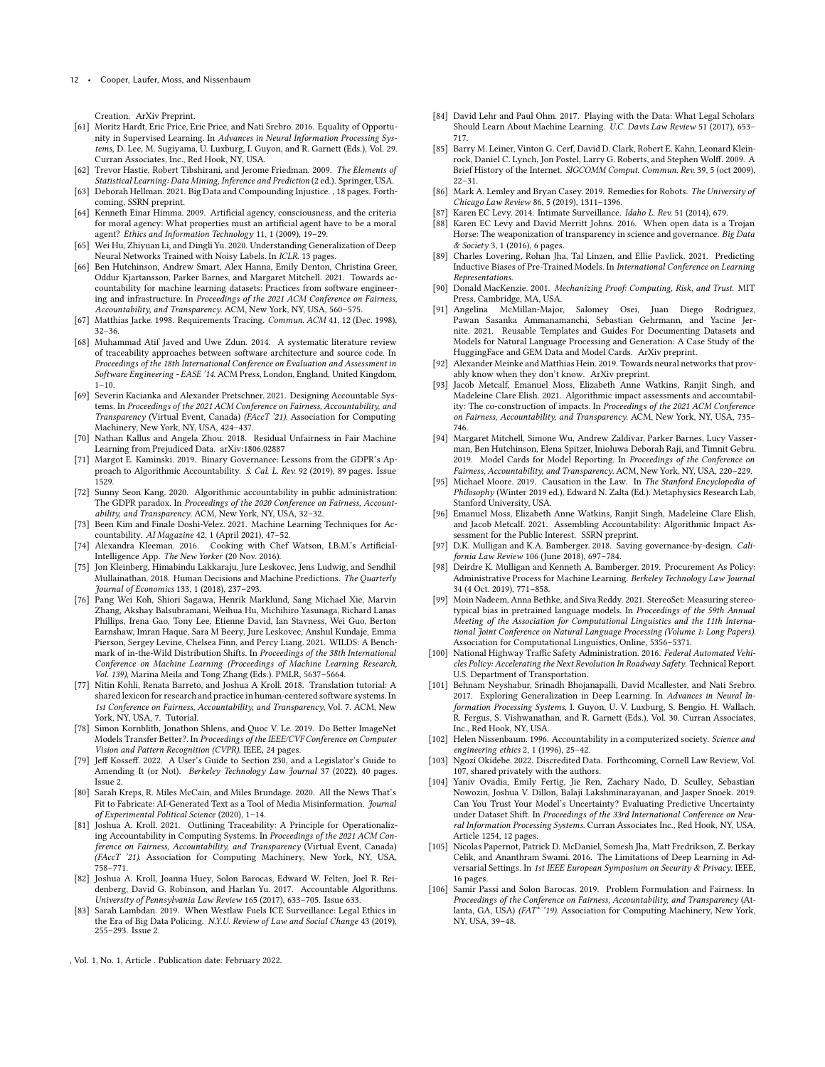Creation. ArXiv Preprint.

- <span id="page-11-39"></span>[61] Moritz Hardt, Eric Price, Eric Price, and Nati Srebro. 2016. Equality of Opportunity in Supervised Learning. In Advances in Neural Information Processing Systems, D. Lee, M. Sugiyama, U. Luxburg, I. Guyon, and R. Garnett (Eds.), Vol. 29. Curran Associates, Inc., Red Hook, NY, USA.
- <span id="page-11-40"></span>[62] Trevor Hastie, Robert Tibshirani, and Jerome Friedman. 2009. The Elements of Statistical Learning: Data Mining, Inference and Prediction (2 ed.). Springer, USA.
- <span id="page-11-17"></span>[63] Deborah Hellman. 2021. Big Data and Compounding Injustice. , 18 pages. Forthcoming, SSRN preprint.
- <span id="page-11-41"></span>[64] Kenneth Einar Himma. 2009. Artificial agency, consciousness, and the criteria for moral agency: What properties must an artificial agent have to be a moral agent? Ethics and Information Technology 11, 1 (2009), 19–29.
- <span id="page-11-28"></span>[65] Wei Hu, Zhiyuan Li, and Dingli Yu. 2020. Understanding Generalization of Deep Neural Networks Trained with Noisy Labels. In ICLR. 13 pages.
- <span id="page-11-12"></span>[66] Ben Hutchinson, Andrew Smart, Alex Hanna, Emily Denton, Christina Greer, Oddur Kjartansson, Parker Barnes, and Margaret Mitchell. 2021. Towards accountability for machine learning datasets: Practices from software engineering and infrastructure. In Proceedings of the 2021 ACM Conference on Fairness, Accountability, and Transparency. ACM, New York, NY, USA, 560–575.
- <span id="page-11-2"></span>[67] Matthias Jarke. 1998. Requirements Tracing. Commun. ACM 41, 12 (Dec. 1998), 32–36.
- <span id="page-11-3"></span>[68] Muhammad Atif Javed and Uwe Zdun. 2014. A systematic literature review of traceability approaches between software architecture and source code. In Proceedings of the 18th International Conference on Evaluation and Assessment in Software Engineering - EASE '14. ACM Press, London, England, United Kingdom,  $1 - 10$ .
- <span id="page-11-26"></span>[69] Severin Kacianka and Alexander Pretschner. 2021. Designing Accountable Systems. In Proceedings of the 2021 ACM Conference on Fairness, Accountability, and Transparency (Virtual Event, Canada) (FAccT '21). Association for Computing Machinery, New York, NY, USA, 424–437.
- <span id="page-11-45"></span>[70] Nathan Kallus and Angela Zhou. 2018. Residual Unfairness in Fair Machine Learning from Prejudiced Data. arXiv[:1806.02887](https://arxiv.org/abs/1806.02887)
- <span id="page-11-19"></span>[71] Margot E. Kaminski. 2019. Binary Governance: Lessons from the GDPR's Approach to Algorithmic Accountability. S. Cal. L. Rev. 92 (2019), 89 pages. Issue 1529.
- <span id="page-11-20"></span>[72] Sunny Seon Kang. 2020. Algorithmic accountability in public administration: The GDPR paradox. In Proceedings of the 2020 Conference on Fairness, Accountability, and Transparency. ACM, New York, NY, USA, 32–32.
- <span id="page-11-24"></span>[73] Been Kim and Finale Doshi-Velez. 2021. Machine Learning Techniques for Accountability. AI Magazine 42, 1 (April 2021), 47–52.
- <span id="page-11-8"></span>[74] Alexandra Kleeman. 2016. Cooking with Chef Watson, I.B.M.'s Artificial-Intelligence App. The New Yorker (20 Nov. 2016).
- <span id="page-11-7"></span>[75] Jon Kleinberg, Himabindu Lakkaraju, Jure Leskovec, Jens Ludwig, and Sendhil Mullainathan. 2018. Human Decisions and Machine Predictions. The Quarterly Journal of Economics 133, 1 (2018), 237–293.
- <span id="page-11-30"></span>[76] Pang Wei Koh, Shiori Sagawa, Henrik Marklund, Sang Michael Xie, Marvin Zhang, Akshay Balsubramani, Weihua Hu, Michihiro Yasunaga, Richard Lanas Phillips, Irena Gao, Tony Lee, Etienne David, Ian Stavness, Wei Guo, Berton Earnshaw, Imran Haque, Sara M Beery, Jure Leskovec, Anshul Kundaje, Emma Pierson, Sergey Levine, Chelsea Finn, and Percy Liang. 2021. WILDS: A Benchmark of in-the-Wild Distribution Shifts. In Proceedings of the 38th International Conference on Machine Learning (Proceedings of Machine Learning Research, Vol. 139), Marina Meila and Tong Zhang (Eds.). PMLR, 5637–5664.
- <span id="page-11-10"></span>[77] Nitin Kohli, Renata Barreto, and Joshua A Kroll. 2018. Translation tutorial: A shared lexicon for research and practice in human-centered software systems. In 1st Conference on Fairness, Accountability, and Transparency, Vol. 7. ACM, New York, NY, USA, 7. Tutorial.
- <span id="page-11-35"></span>[78] Simon Kornblith, Jonathon Shlens, and Quoc V. Le. 2019. Do Better ImageNet Models Transfer Better?. In Proceedings of the IEEE/CVF Conference on Computer Vision and Pattern Recognition (CVPR). IEEE, 24 pages.
- <span id="page-11-43"></span>[79] Jeff Kosseff. 2022. A User's Guide to Section 230, and a Legislator's Guide to Amending It (or Not). Berkeley Technology Law Journal 37 (2022), 40 pages. Issue 2.
- <span id="page-11-9"></span>[80] Sarah Kreps, R. Miles McCain, and Miles Brundage. 2020. All the News That's Fit to Fabricate: AI-Generated Text as a Tool of Media Misinformation. Journal of Experimental Political Science (2020), 1–14.
- <span id="page-11-25"></span>[81] Joshua A. Kroll. 2021. Outlining Traceability: A Principle for Operationalizing Accountability in Computing Systems. In Proceedings of the 2021 ACM Conference on Fairness, Accountability, and Transparency (Virtual Event, Canada) (FAccT '21). Association for Computing Machinery, New York, NY, USA, 758–771.
- <span id="page-11-5"></span>[82] Joshua A. Kroll, Joanna Huey, Solon Barocas, Edward W. Felten, Joel R. Reidenberg, David G. Robinson, and Harlan Yu. 2017. Accountable Algorithms. University of Pennsylvania Law Review 165 (2017), 633–705. Issue 633.
- <span id="page-11-22"></span>[83] Sarah Lambdan. 2019. When Westlaw Fuels ICE Surveillance: Legal Ethics in the Era of Big Data Policing. N.Y.U. Review of Law and Social Change 43 (2019), 255–293. Issue 2.

, Vol. 1, No. 1, Article . Publication date: February 2022.

- <span id="page-11-23"></span>[84] David Lehr and Paul Ohm. 2017. Playing with the Data: What Legal Scholars Should Learn About Machine Learning. U.C. Davis Law Review 51 (2017), 653– 717.
- <span id="page-11-0"></span>[85] Barry M. Leiner, Vinton G. Cerf, David D. Clark, Robert E. Kahn, Leonard Kleinrock, Daniel C. Lynch, Jon Postel, Larry G. Roberts, and Stephen Wolff. 2009. A Brief History of the Internet. SIGCOMM Comput. Commun. Rev. 39, 5 (oct 2009), 22–31.
- <span id="page-11-42"></span>[86] Mark A. Lemley and Bryan Casey. 2019. Remedies for Robots. The University of Chicago Law Review 86, 5 (2019), 1311–1396.
- <span id="page-11-44"></span>[87] Karen EC Levy. 2014. Intimate Surveillance. *Idaho L. Rev.* 51 (2014), 679.<br>[88] Karen EC Levy and David Merritt Johns. 2016. When open data is a
- <span id="page-11-21"></span>Karen EC Levy and David Merritt Johns. 2016. When open data is a Trojan Horse: The weaponization of transparency in science and governance. Big Data & Society 3, 1 (2016), 6 pages.
- <span id="page-11-36"></span>[89] Charles Lovering, Rohan Jha, Tal Linzen, and Ellie Pavlick. 2021. Predicting Inductive Biases of Pre-Trained Models. In International Conference on Learning Representations.
- <span id="page-11-38"></span>[90] Donald MacKenzie. 2001. Mechanizing Proof: Computing, Risk, and Trust. MIT Press, Cambridge, MA, USA.
- <span id="page-11-13"></span>[91] Angelina McMillan-Major, Salomey Osei, Juan Diego Rodriguez, Pawan Sasanka Ammanamanchi, Sebastian Gehrmann, and Yacine Jernite. 2021. Reusable Templates and Guides For Documenting Datasets and Models for Natural Language Processing and Generation: A Case Study of the HuggingFace and GEM Data and Model Cards. ArXiv preprint.
- <span id="page-11-27"></span>[92] Alexander Meinke and Matthias Hein. 2019. Towards neural networks that provably know when they don't know. ArXiv preprint.
- <span id="page-11-14"></span>[93] Jacob Metcalf, Emanuel Moss, Elizabeth Anne Watkins, Ranjit Singh, and Madeleine Clare Elish. 2021. Algorithmic impact assessments and accountability: The co-construction of impacts. In Proceedings of the 2021 ACM Conference on Fairness, Accountability, and Transparency. ACM, New York, NY, USA, 735– 746.
- <span id="page-11-11"></span>[94] Margaret Mitchell, Simone Wu, Andrew Zaldivar, Parker Barnes, Lucy Vasserman, Ben Hutchinson, Elena Spitzer, Inioluwa Deborah Raji, and Timnit Gebru. 2019. Model Cards for Model Reporting. In Proceedings of the Conference on Fairness, Accountability, and Transparency. ACM, New York, NY, USA, 220–229.
- <span id="page-11-33"></span>[95] Michael Moore. 2019. Causation in the Law. In The Stanford Encyclopedia of Philosophy (Winter 2019 ed.), Edward N. Zalta (Ed.). Metaphysics Research Lab, Stanford University, USA.
- <span id="page-11-15"></span>[96] Emanuel Moss, Elizabeth Anne Watkins, Ranjit Singh, Madeleine Clare Elish, and Jacob Metcalf. 2021. Assembling Accountability: Algorithmic Impact Assessment for the Public Interest. SSRN preprint.
- <span id="page-11-4"></span>[97] D.K. Mulligan and K.A. Bamberger. 2018. Saving governance-by-design. California Law Review 106 (June 2018), 697–784.
- <span id="page-11-6"></span>[98] Deirdre K. Mulligan and Kenneth A. Bamberger. 2019. Procurement As Policy: Administrative Process for Machine Learning. Berkeley Technology Law Journal 34 (4 Oct. 2019), 771–858.
- <span id="page-11-37"></span>[99] Moin Nadeem, Anna Bethke, and Siva Reddy. 2021. StereoSet: Measuring stereotypical bias in pretrained language models. In Proceedings of the 59th Annual Meeting of the Association for Computational Linguistics and the 11th International Joint Conference on Natural Language Processing (Volume 1: Long Papers). Association for Computational Linguistics, Online, 5356–5371.
- <span id="page-11-16"></span>[100] National Highway Traffic Safety Administration. 2016. Federal Automated Vehicles Policy: Accelerating the Next Revolution In Roadway Safety. Technical Report. U.S. Department of Transportation.
- <span id="page-11-29"></span>[101] Behnam Neyshabur, Srinadh Bhojanapalli, David Mcallester, and Nati Srebro. 2017. Exploring Generalization in Deep Learning. In Advances in Neural Information Processing Systems, I. Guyon, U. V. Luxburg, S. Bengio, H. Wallach, R. Fergus, S. Vishwanathan, and R. Garnett (Eds.), Vol. 30. Curran Associates, Inc., Red Hook, NY, USA.
- <span id="page-11-1"></span>[102] Helen Nissenbaum. 1996. Accountability in a computerized society. Science and engineering ethics 2, 1 (1996), 25–42.
- <span id="page-11-18"></span>[103] Ngozi Okidebe. 2022. Discredited Data. Forthcoming, Cornell Law Review, Vol. 107, shared privately with the authors.
- <span id="page-11-31"></span>[104] Yaniv Ovadia, Emily Fertig, Jie Ren, Zachary Nado, D. Sculley, Sebastian Nowozin, Joshua V. Dillon, Balaji Lakshminarayanan, and Jasper Snoek. 2019. Can You Trust Your Model's Uncertainty? Evaluating Predictive Uncertainty under Dataset Shift. In Proceedings of the 33rd International Conference on Neural Information Processing Systems. Curran Associates Inc., Red Hook, NY, USA, Article 1254, 12 pages.
- <span id="page-11-32"></span>[105] Nicolas Papernot, Patrick D. McDaniel, Somesh Jha, Matt Fredrikson, Z. Berkay Celik, and Ananthram Swami. 2016. The Limitations of Deep Learning in Adversarial Settings. In 1st IEEE European Symposium on Security & Privacy. IEEE, 16 pages.
- <span id="page-11-34"></span>[106] Samir Passi and Solon Barocas. 2019. Problem Formulation and Fairness. In Proceedings of the Conference on Fairness, Accountability, and Transparency (Atlanta, GA, USA) (FAT\* '19). Association for Computing Machinery, New York, NY, USA, 39–48.